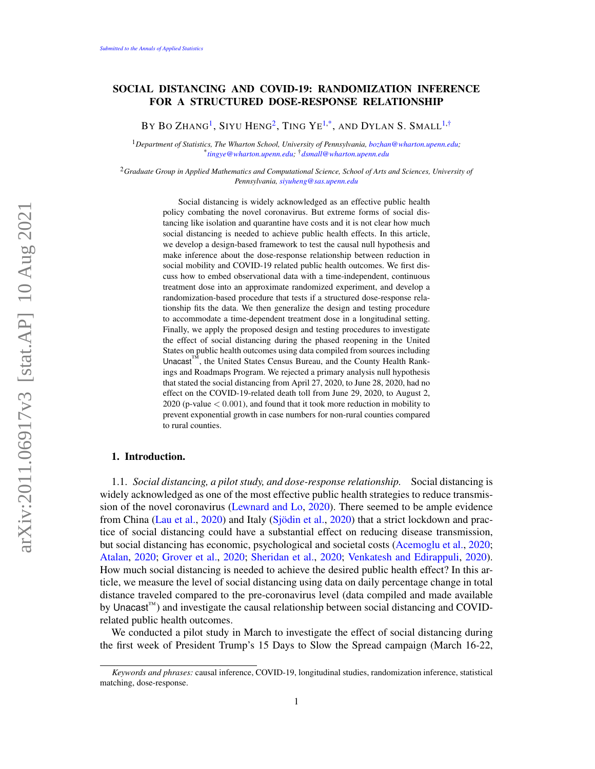# SOCIAL DISTANCING AND COVID-19: RANDOMIZATION INFERENCE FOR A STRUCTURED DOSE-RESPONSE RELATIONSHIP

By Bo Zhang<sup>[1](#page-0-0)</sup>, Siyu Heng<sup>[2](#page-0-1)</sup>, Ting Ye<sup>[1,](#page-0-0)[\\*](#page-0-2)</sup>, and Dylan S. Small<sup>1,[†](#page-0-3)</sup>

<span id="page-0-0"></span><sup>1</sup>*Department of Statistics, The Wharton School, University of Pennsylvania, [bozhan@wharton.upenn.edu;](mailto:bozhan@wharton.upenn.edu)* \* *[tingye@wharton.upenn.edu;](mailto:tingye@wharton.upenn.edu)* †*[dsmall@wharton.upenn.edu](mailto:dsmall@wharton.upenn.edu)*

<span id="page-0-1"></span><sup>2</sup>*Graduate Group in Applied Mathematics and Computational Science, School of Arts and Sciences, University of Pennsylvania, [siyuheng@sas.upenn.edu](mailto:siyuheng@sas.upenn.edu)*

> <span id="page-0-3"></span><span id="page-0-2"></span>Social distancing is widely acknowledged as an effective public health policy combating the novel coronavirus. But extreme forms of social distancing like isolation and quarantine have costs and it is not clear how much social distancing is needed to achieve public health effects. In this article, we develop a design-based framework to test the causal null hypothesis and make inference about the dose-response relationship between reduction in social mobility and COVID-19 related public health outcomes. We first discuss how to embed observational data with a time-independent, continuous treatment dose into an approximate randomized experiment, and develop a randomization-based procedure that tests if a structured dose-response relationship fits the data. We then generalize the design and testing procedure to accommodate a time-dependent treatment dose in a longitudinal setting. Finally, we apply the proposed design and testing procedures to investigate the effect of social distancing during the phased reopening in the United States on public health outcomes using data compiled from sources including Unacast™, the United States Census Bureau, and the County Health Rankings and Roadmaps Program. We rejected a primary analysis null hypothesis that stated the social distancing from April 27, 2020, to June 28, 2020, had no effect on the COVID-19-related death toll from June 29, 2020, to August 2,  $2020$  (p-value  $< 0.001$ ), and found that it took more reduction in mobility to prevent exponential growth in case numbers for non-rural counties compared to rural counties.

# 1. Introduction.

1.1. *Social distancing, a pilot study, and dose-response relationship.* Social distancing is widely acknowledged as one of the most effective public health strategies to reduce transmission of the novel coronavirus [\(Lewnard and Lo,](#page-28-0) [2020\)](#page-28-0). There seemed to be ample evidence from China [\(Lau et al.,](#page-28-1) [2020\)](#page-28-1) and Italy [\(Sjödin et al.,](#page-29-0) [2020\)](#page-29-0) that a strict lockdown and practice of social distancing could have a substantial effect on reducing disease transmission, but social distancing has economic, psychological and societal costs [\(Acemoglu et al.,](#page-26-0) [2020;](#page-26-0) [Atalan,](#page-26-1) [2020;](#page-26-1) [Grover et al.,](#page-28-2) [2020;](#page-28-2) [Sheridan et al.,](#page-29-1) [2020;](#page-29-1) [Venkatesh and Edirappuli,](#page-29-2) [2020\)](#page-29-2). How much social distancing is needed to achieve the desired public health effect? In this article, we measure the level of social distancing using data on daily percentage change in total distance traveled compared to the pre-coronavirus level (data compiled and made available by Unacast<sup>™</sup>) and investigate the causal relationship between social distancing and COVIDrelated public health outcomes.

We conducted a pilot study in March to investigate the effect of social distancing during the first week of President Trump's 15 Days to Slow the Spread campaign (March 16-22,

*Keywords and phrases:* causal inference, COVID-19, longitudinal studies, randomization inference, statistical matching, dose-response.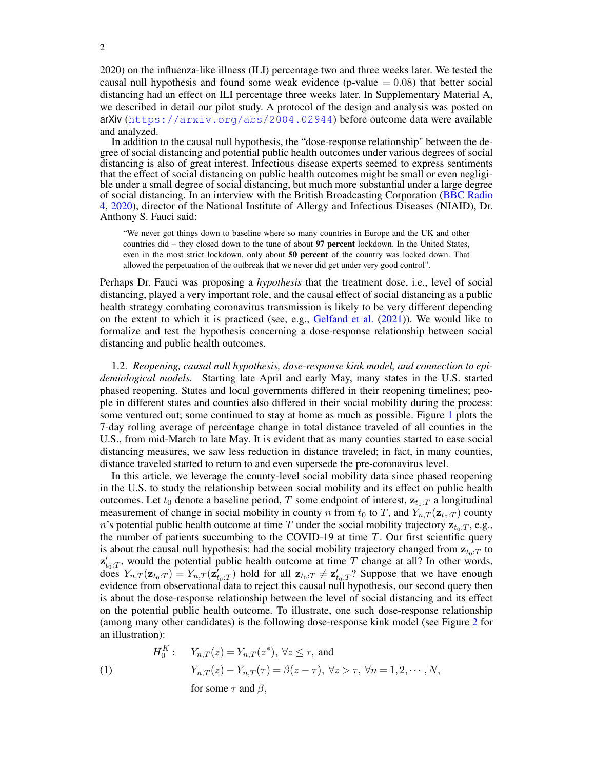2020) on the influenza-like illness (ILI) percentage two and three weeks later. We tested the causal null hypothesis and found some weak evidence (p-value  $= 0.08$ ) that better social distancing had an effect on ILI percentage three weeks later. In Supplementary Material A, we described in detail our pilot study. A protocol of the design and analysis was posted on arXiv (<https://arxiv.org/abs/2004.02944>) before outcome data were available and analyzed.

In addition to the causal null hypothesis, the "dose-response relationship" between the degree of social distancing and potential public health outcomes under various degrees of social distancing is also of great interest. Infectious disease experts seemed to express sentiments that the effect of social distancing on public health outcomes might be small or even negligible under a small degree of social distancing, but much more substantial under a large degree of social distancing. In an interview with the British Broadcasting Corporation [\(BBC Radio](#page-26-2) [4,](#page-26-2) [2020\)](#page-26-2), director of the National Institute of Allergy and Infectious Diseases (NIAID), Dr. Anthony S. Fauci said:

"We never got things down to baseline where so many countries in Europe and the UK and other countries did – they closed down to the tune of about 97 percent lockdown. In the United States, even in the most strict lockdown, only about 50 percent of the country was locked down. That allowed the perpetuation of the outbreak that we never did get under very good control".

Perhaps Dr. Fauci was proposing a *hypothesis* that the treatment dose, i.e., level of social distancing, played a very important role, and the causal effect of social distancing as a public health strategy combating coronavirus transmission is likely to be very different depending on the extent to which it is practiced (see, e.g., [Gelfand et al.](#page-28-3) [\(2021\)](#page-28-3)). We would like to formalize and test the hypothesis concerning a dose-response relationship between social distancing and public health outcomes.

1.2. *Reopening, causal null hypothesis, dose-response kink model, and connection to epidemiological models.* Starting late April and early May, many states in the U.S. started phased reopening. States and local governments differed in their reopening timelines; people in different states and counties also differed in their social mobility during the process: some ventured out; some continued to stay at home as much as possible. Figure [1](#page-2-0) plots the 7-day rolling average of percentage change in total distance traveled of all counties in the U.S., from mid-March to late May. It is evident that as many counties started to ease social distancing measures, we saw less reduction in distance traveled; in fact, in many counties, distance traveled started to return to and even supersede the pre-coronavirus level.

In this article, we leverage the county-level social mobility data since phased reopening in the U.S. to study the relationship between social mobility and its effect on public health outcomes. Let  $t_0$  denote a baseline period, T some endpoint of interest,  $z_{t_0:T}$  a longitudinal measurement of change in social mobility in county n from  $t_0$  to T, and  $Y_{n,T}(\mathbf{z}_{t_0:T})$  county n's potential public health outcome at time T under the social mobility trajectory  $z_{t_0:T}$ , e.g., the number of patients succumbing to the COVID-19 at time  $T$ . Our first scientific query is about the causal null hypothesis: had the social mobility trajectory changed from  $z_{t_0:T}$  to  $z'_{t_0:T}$ , would the potential public health outcome at time T change at all? In other words, does  $Y_{n,T}(\mathbf{z}_{t_0:T}) = Y_{n,T}(\mathbf{z}_{t_0:T}^T)$  hold for all  $\mathbf{z}_{t_0:T} \neq \mathbf{z}_{t_0:T}^T$ ? Suppose that we have enough evidence from observational data to reject this causal null hypothesis, our second query then is about the dose-response relationship between the level of social distancing and its effect on the potential public health outcome. To illustrate, one such dose-response relationship (among many other candidates) is the following dose-response kink model (see Figure [2](#page-3-0) for an illustration):

<span id="page-1-0"></span>(1)  
\n
$$
H_0^K: \quad Y_{n,T}(z) = Y_{n,T}(z^*), \ \forall z \le \tau, \text{ and}
$$
\n
$$
Y_{n,T}(z) - Y_{n,T}(\tau) = \beta(z - \tau), \ \forall z > \tau, \ \forall n = 1, 2, \cdots, N,
$$
\n
$$
\text{for some } \tau \text{ and } \beta,
$$

2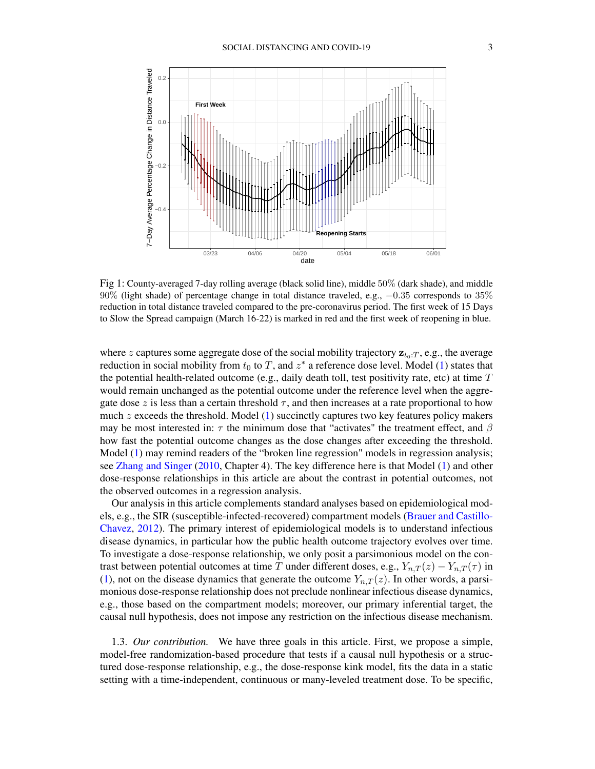<span id="page-2-0"></span>

Fig 1: County-averaged 7-day rolling average (black solid line), middle 50% (dark shade), and middle 90% (light shade) of percentage change in total distance traveled, e.g., −0.35 corresponds to 35% reduction in total distance traveled compared to the pre-coronavirus period. The first week of 15 Days to Slow the Spread campaign (March 16-22) is marked in red and the first week of reopening in blue.

where z captures some aggregate dose of the social mobility trajectory  $z_{t_0:T}$ , e.g., the average reduction in social mobility from  $t_0$  to T, and  $z^*$  a reference dose level. Model [\(1\)](#page-1-0) states that the potential health-related outcome (e.g., daily death toll, test positivity rate, etc) at time  $T$ would remain unchanged as the potential outcome under the reference level when the aggregate dose z is less than a certain threshold  $\tau$ , and then increases at a rate proportional to how much  $z$  exceeds the threshold. Model [\(1\)](#page-1-0) succinctly captures two key features policy makers may be most interested in:  $\tau$  the minimum dose that "activates" the treatment effect, and  $\beta$ how fast the potential outcome changes as the dose changes after exceeding the threshold. Model [\(1\)](#page-1-0) may remind readers of the "broken line regression" models in regression analysis; see [Zhang and Singer](#page-29-3) [\(2010,](#page-29-3) Chapter 4). The key difference here is that Model [\(1\)](#page-1-0) and other dose-response relationships in this article are about the contrast in potential outcomes, not the observed outcomes in a regression analysis.

Our analysis in this article complements standard analyses based on epidemiological models, e.g., the SIR (susceptible-infected-recovered) compartment models [\(Brauer and Castillo-](#page-27-0)[Chavez,](#page-27-0) [2012\)](#page-27-0). The primary interest of epidemiological models is to understand infectious disease dynamics, in particular how the public health outcome trajectory evolves over time. To investigate a dose-response relationship, we only posit a parsimonious model on the contrast between potential outcomes at time T under different doses, e.g.,  $Y_{n,T}(z) - Y_{n,T}(\tau)$  in [\(1\)](#page-1-0), not on the disease dynamics that generate the outcome  $Y_{n,T}(z)$ . In other words, a parsimonious dose-response relationship does not preclude nonlinear infectious disease dynamics, e.g., those based on the compartment models; moreover, our primary inferential target, the causal null hypothesis, does not impose any restriction on the infectious disease mechanism.

1.3. *Our contribution.* We have three goals in this article. First, we propose a simple, model-free randomization-based procedure that tests if a causal null hypothesis or a structured dose-response relationship, e.g., the dose-response kink model, fits the data in a static setting with a time-independent, continuous or many-leveled treatment dose. To be specific,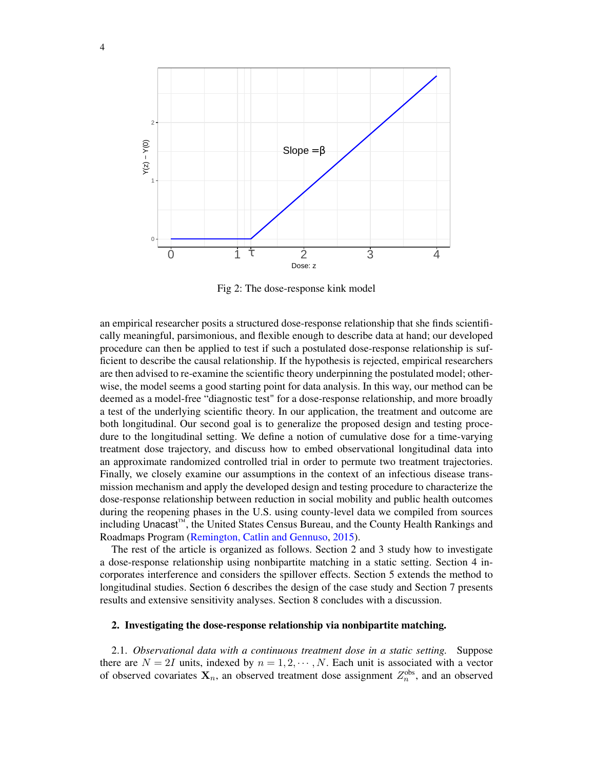<span id="page-3-0"></span>

Fig 2: The dose-response kink model

an empirical researcher posits a structured dose-response relationship that she finds scientifically meaningful, parsimonious, and flexible enough to describe data at hand; our developed procedure can then be applied to test if such a postulated dose-response relationship is sufficient to describe the causal relationship. If the hypothesis is rejected, empirical researchers are then advised to re-examine the scientific theory underpinning the postulated model; otherwise, the model seems a good starting point for data analysis. In this way, our method can be deemed as a model-free "diagnostic test" for a dose-response relationship, and more broadly a test of the underlying scientific theory. In our application, the treatment and outcome are both longitudinal. Our second goal is to generalize the proposed design and testing procedure to the longitudinal setting. We define a notion of cumulative dose for a time-varying treatment dose trajectory, and discuss how to embed observational longitudinal data into an approximate randomized controlled trial in order to permute two treatment trajectories. Finally, we closely examine our assumptions in the context of an infectious disease transmission mechanism and apply the developed design and testing procedure to characterize the dose-response relationship between reduction in social mobility and public health outcomes during the reopening phases in the U.S. using county-level data we compiled from sources including Unacast™, the United States Census Bureau, and the County Health Rankings and Roadmaps Program [\(Remington, Catlin and Gennuso,](#page-28-4) [2015\)](#page-28-4).

The rest of the article is organized as follows. Section 2 and 3 study how to investigate a dose-response relationship using nonbipartite matching in a static setting. Section 4 incorporates interference and considers the spillover effects. Section 5 extends the method to longitudinal studies. Section 6 describes the design of the case study and Section 7 presents results and extensive sensitivity analyses. Section 8 concludes with a discussion.

## <span id="page-3-1"></span>2. Investigating the dose-response relationship via nonbipartite matching.

2.1. *Observational data with a continuous treatment dose in a static setting.* Suppose there are  $N = 2I$  units, indexed by  $n = 1, 2, \dots, N$ . Each unit is associated with a vector of observed covariates  $X_n$ , an observed treatment dose assignment  $Z_n^{\text{obs}}$ , and an observed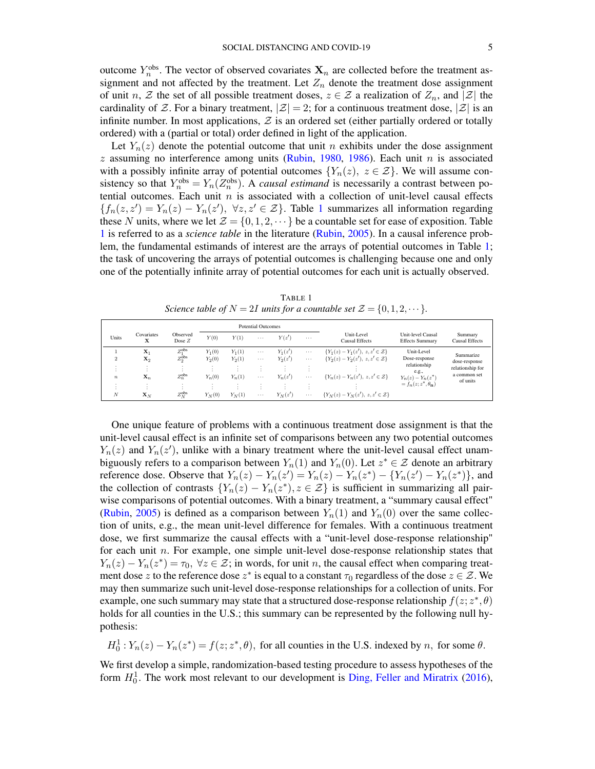outcome  $Y_n^{\text{obs}}$ . The vector of observed covariates  $\mathbf{X}_n$  are collected before the treatment assignment and not affected by the treatment. Let  $Z_n$  denote the treatment dose assignment of unit n,  $\mathcal Z$  the set of all possible treatment doses,  $z \in \mathcal Z$  a realization of  $Z_n$ , and  $|\mathcal Z|$  the cardinality of Z. For a binary treatment,  $|\mathcal{Z}| = 2$ ; for a continuous treatment dose,  $|\mathcal{Z}|$  is an infinite number. In most applications,  $Z$  is an ordered set (either partially ordered or totally ordered) with a (partial or total) order defined in light of the application.

Let  $Y_n(z)$  denote the potential outcome that unit n exhibits under the dose assignment  $z$  assuming no interference among units [\(Rubin,](#page-29-4) [1980,](#page-29-4) [1986\)](#page-29-5). Each unit  $n$  is associated with a possibly infinite array of potential outcomes  $\{Y_n(z), z \in \mathcal{Z}\}\)$ . We will assume consistency so that  $Y_n^{\text{obs}} = Y_n(Z_n^{\text{obs}})$ . A *causal estimand* is necessarily a contrast between potential outcomes. Each unit  $n$  is associated with a collection of unit-level causal effects  ${f_n(z, z') = Y_n(z) - Y_n(z')}, \ \forall z, z' \in \mathcal{Z}}.$  Table [1](#page-4-0) summarizes all information regarding these N units, where we let  $\mathcal{Z} = \{0, 1, 2, \dots\}$  be a countable set for ease of exposition. Table [1](#page-4-0) is referred to as a *science table* in the literature [\(Rubin,](#page-29-6) [2005\)](#page-29-6). In a causal inference problem, the fundamental estimands of interest are the arrays of potential outcomes in Table [1;](#page-4-0) the task of uncovering the arrays of potential outcomes is challenging because one and only one of the potentially infinite array of potential outcomes for each unit is actually observed.

TABLE 1 *Science table of*  $N = 2I$  *units for a countable set*  $\mathcal{Z} = \{0, 1, 2, \dots\}$ *.* 

<span id="page-4-0"></span>

|                  |                 |                        | <b>Potential Outcomes</b> |          |          |           |          |                                             |                                             |                                                               |
|------------------|-----------------|------------------------|---------------------------|----------|----------|-----------|----------|---------------------------------------------|---------------------------------------------|---------------------------------------------------------------|
| Units            | Covariates<br>x | Observed<br>Dose $Z$   | Y(0)                      | Y(1)     | $\cdots$ | Y(z')     | $\cdots$ | Unit-Level<br><b>Causal Effects</b>         | Unit-level Causal<br><b>Effects Summary</b> | Summary<br><b>Causal Effects</b>                              |
|                  | $\mathbf{X}_1$  | $Z_1^{\text{obs}}$     | $Y_1(0)$                  | $Y_1(1)$ | $\cdots$ | $Y_1(z')$ | $\cdots$ | ${Y_1(z) - Y_1(z')}, z, z' \in \mathcal{Z}$ | Unit-Level                                  | Summarize                                                     |
|                  | $\mathbf{X}_2$  | $Z_{\gamma}^{\rm obs}$ | $Y_2(0)$                  | $Y_2(1)$ | $\cdots$ | $Y_2(z')$ | $\cdots$ | ${Y_2(z) - Y_2(z')}, z, z' \in \mathcal{Z}$ | Dose-response                               | dose-response<br>relationship for<br>a common set<br>of units |
|                  | ٠.              |                        |                           | $\sim$   |          |           |          |                                             | relationship                                |                                                               |
| $\boldsymbol{n}$ | $\mathbf{X}_n$  | $Z_n^{\text{obs}}$     | $Y_n(0)$                  | $Y_n(1)$ | $\cdots$ | $Y_n(z')$ | $\cdots$ | ${Y_n(z) - Y_n(z')}, z, z' \in \mathcal{Z}$ | e.g.,<br>$Y_n(z) - Y_n(z^*)$                |                                                               |
|                  |                 |                        | ٠.                        | $\sim$   | $\cdot$  |           |          |                                             | $=f_n(z; z^*, \theta_n)$                    |                                                               |
| N                | $\mathbf{x}_N$  | $Z_N^{\rm obs}$        | $Y_N(0)$                  | $Y_N(1)$ | $\cdots$ | $Y_N(z')$ | $\cdots$ | ${Y_N(z) - Y_N(z')}, z, z' \in \mathcal{Z}$ |                                             |                                                               |

One unique feature of problems with a continuous treatment dose assignment is that the unit-level causal effect is an infinite set of comparisons between any two potential outcomes  $Y_n(z)$  and  $Y_n(z')$ , unlike with a binary treatment where the unit-level causal effect unambiguously refers to a comparison between  $Y_n(1)$  and  $Y_n(0)$ . Let  $z^* \in \mathcal{Z}$  denote an arbitrary reference dose. Observe that  $Y_n(z) - Y_n(z') = Y_n(z) - Y_n(z^*) - \{Y_n(z') - Y_n(z^*)\}$ , and the collection of contrasts  ${Y_n(z) - Y_n(z^*)}, z \in \mathcal{Z}$  is sufficient in summarizing all pairwise comparisons of potential outcomes. With a binary treatment, a "summary causal effect" [\(Rubin,](#page-29-6) [2005\)](#page-29-6) is defined as a comparison between  $Y_n(1)$  and  $Y_n(0)$  over the same collection of units, e.g., the mean unit-level difference for females. With a continuous treatment dose, we first summarize the causal effects with a "unit-level dose-response relationship" for each unit  $n$ . For example, one simple unit-level dose-response relationship states that  $Y_n(z) - Y_n(z^*) = \tau_0, \forall z \in \mathcal{Z}$ ; in words, for unit n, the causal effect when comparing treatment dose z to the reference dose  $z^*$  is equal to a constant  $\tau_0$  regardless of the dose  $z \in \mathcal{Z}$ . We may then summarize such unit-level dose-response relationships for a collection of units. For example, one such summary may state that a structured dose-response relationship  $f(z; z^*, \theta)$ holds for all counties in the U.S.; this summary can be represented by the following null hypothesis:

 $H_0^1: Y_n(z) - Y_n(z^*) = f(z; z^*, \theta)$ , for all counties in the U.S. indexed by n, for some  $\theta$ .

We first develop a simple, randomization-based testing procedure to assess hypotheses of the form  $H_0^1$ . The work most relevant to our development is [Ding, Feller and Miratrix](#page-28-5) [\(2016\)](#page-28-5),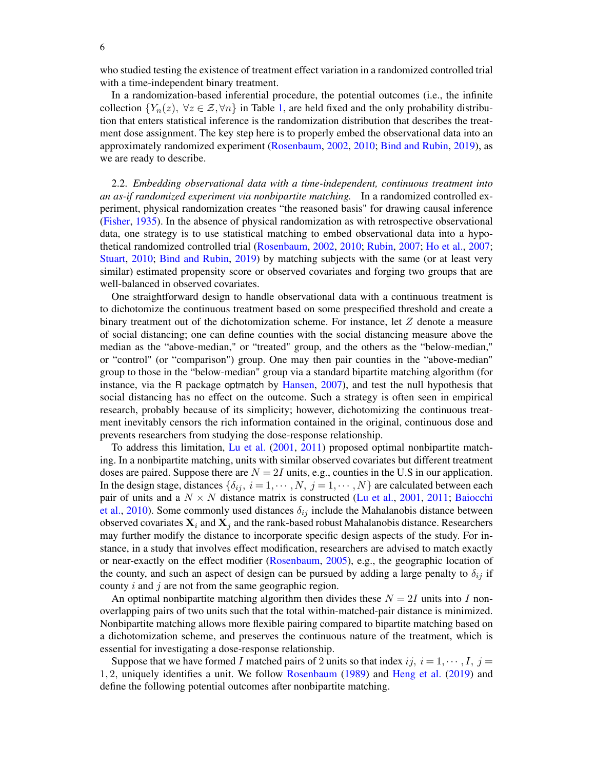6

who studied testing the existence of treatment effect variation in a randomized controlled trial with a time-independent binary treatment.

In a randomization-based inferential procedure, the potential outcomes (i.e., the infinite collection  ${Y_n(z), \forall z \in \mathcal{Z}, \forall n}$  in Table [1,](#page-4-0) are held fixed and the only probability distribution that enters statistical inference is the randomization distribution that describes the treatment dose assignment. The key step here is to properly embed the observational data into an approximately randomized experiment [\(Rosenbaum,](#page-29-7) [2002,](#page-29-7) [2010;](#page-29-8) [Bind and Rubin,](#page-27-1) [2019\)](#page-27-1), as we are ready to describe.

2.2. *Embedding observational data with a time-independent, continuous treatment into an as-if randomized experiment via nonbipartite matching.* In a randomized controlled experiment, physical randomization creates "the reasoned basis" for drawing causal inference [\(Fisher,](#page-28-6) [1935\)](#page-28-6). In the absence of physical randomization as with retrospective observational data, one strategy is to use statistical matching to embed observational data into a hypothetical randomized controlled trial [\(Rosenbaum,](#page-29-7) [2002,](#page-29-7) [2010;](#page-29-8) [Rubin,](#page-29-9) [2007;](#page-29-9) [Ho et al.,](#page-28-7) [2007;](#page-28-7) [Stuart,](#page-29-10) [2010;](#page-29-10) [Bind and Rubin,](#page-27-1) [2019\)](#page-27-1) by matching subjects with the same (or at least very similar) estimated propensity score or observed covariates and forging two groups that are well-balanced in observed covariates.

One straightforward design to handle observational data with a continuous treatment is to dichotomize the continuous treatment based on some prespecified threshold and create a binary treatment out of the dichotomization scheme. For instance, let Z denote a measure of social distancing; one can define counties with the social distancing measure above the median as the "above-median," or "treated" group, and the others as the "below-median," or "control" (or "comparison") group. One may then pair counties in the "above-median" group to those in the "below-median" group via a standard bipartite matching algorithm (for instance, via the R package optmatch by [Hansen,](#page-28-8) [2007\)](#page-28-8), and test the null hypothesis that social distancing has no effect on the outcome. Such a strategy is often seen in empirical research, probably because of its simplicity; however, dichotomizing the continuous treatment inevitably censors the rich information contained in the original, continuous dose and prevents researchers from studying the dose-response relationship.

To address this limitation, [Lu et al.](#page-28-9) [\(2001,](#page-28-9) [2011\)](#page-28-10) proposed optimal nonbipartite matching. In a nonbipartite matching, units with similar observed covariates but different treatment doses are paired. Suppose there are  $N = 2I$  units, e.g., counties in the U.S in our application. In the design stage, distances  $\{\delta_{ij}, i = 1, \cdots, N, j = 1, \cdots, N\}$  are calculated between each pair of units and a  $N \times N$  distance matrix is constructed [\(Lu et al.,](#page-28-9) [2001,](#page-28-9) [2011;](#page-28-10) [Baiocchi](#page-26-3) [et al.,](#page-26-3) [2010\)](#page-26-3). Some commonly used distances  $\delta_{ij}$  include the Mahalanobis distance between observed covariates  $X_i$  and  $X_j$  and the rank-based robust Mahalanobis distance. Researchers may further modify the distance to incorporate specific design aspects of the study. For instance, in a study that involves effect modification, researchers are advised to match exactly or near-exactly on the effect modifier [\(Rosenbaum,](#page-29-11) [2005\)](#page-29-11), e.g., the geographic location of the county, and such an aspect of design can be pursued by adding a large penalty to  $\delta_{ij}$  if county  $i$  and  $j$  are not from the same geographic region.

An optimal nonbipartite matching algorithm then divides these  $N = 2I$  units into I nonoverlapping pairs of two units such that the total within-matched-pair distance is minimized. Nonbipartite matching allows more flexible pairing compared to bipartite matching based on a dichotomization scheme, and preserves the continuous nature of the treatment, which is essential for investigating a dose-response relationship.

Suppose that we have formed I matched pairs of 2 units so that index ij,  $i = 1, \dots, I$ ,  $j =$ 1, 2, uniquely identifies a unit. We follow [Rosenbaum](#page-29-12) [\(1989\)](#page-29-12) and [Heng et al.](#page-28-11) [\(2019\)](#page-28-11) and define the following potential outcomes after nonbipartite matching.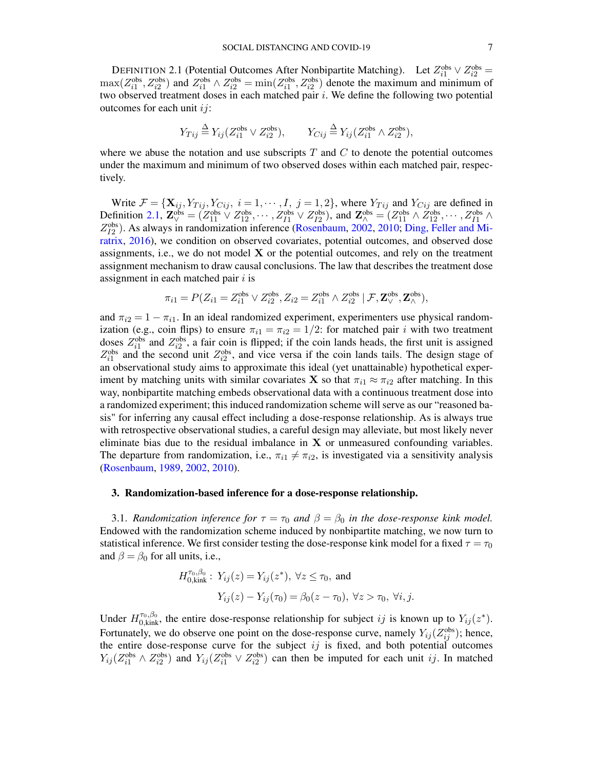<span id="page-6-0"></span>DEFINITION 2.1 (Potential Outcomes After Nonbipartite Matching). Let  $Z_{i1}^{\text{obs}} \vee Z_{i2}^{\text{obs}} =$  $\max(Z_{i1}^{\text{obs}}, Z_{i2}^{\text{obs}})$  and  $Z_{i1}^{\text{obs}} \wedge Z_{i2}^{\text{obs}} = \min(Z_{i1}^{\text{obs}}, Z_{i2}^{\text{obs}})$  denote the maximum and minimum of two observed treatment doses in each matched pair  $i$ . We define the following two potential outcomes for each unit  $ij$ :

$$
Y_{Tij} \stackrel{\Delta}{=} Y_{ij} (Z_{i1}^{\text{obs}} \vee Z_{i2}^{\text{obs}}), \qquad Y_{Cij} \stackrel{\Delta}{=} Y_{ij} (Z_{i1}^{\text{obs}} \wedge Z_{i2}^{\text{obs}}),
$$

where we abuse the notation and use subscripts  $T$  and  $C$  to denote the potential outcomes under the maximum and minimum of two observed doses within each matched pair, respectively.

Write  $\mathcal{F} = {\mathbf{X}_{ij}, Y_{Tij}, Y_{Cij}, i = 1, \cdots, I, j = 1, 2}$ , where  $Y_{Tij}$  and  $Y_{Cij}$  are defined in Definition [2.1,](#page-6-0)  $\mathbf{Z}_{\vee}^{\text{obs}} = (Z_{11}^{\text{obs}} \vee Z_{12}^{\text{obs}}, \cdots, Z_{I1}^{\text{obs}} \vee Z_{I2}^{\text{obs}})$ , and  $\mathbf{Z}_{\wedge}^{\text{obs}} = (Z_{11}^{\text{obs}} \wedge Z_{12}^{\text{obs}}, \cdots, Z_{I1}^{\text{obs}} \wedge Z_{I1}^{\text{obs}})$  $Z_{I2}^{obs}$ ). As always in randomization inference [\(Rosenbaum,](#page-29-7) [2002,](#page-29-7) [2010;](#page-29-8) [Ding, Feller and Mi](#page-28-5)[ratrix,](#page-28-5) [2016\)](#page-28-5), we condition on observed covariates, potential outcomes, and observed dose assignments, i.e., we do not model  $X$  or the potential outcomes, and rely on the treatment assignment mechanism to draw causal conclusions. The law that describes the treatment dose assignment in each matched pair  $i$  is

$$
\pi_{i1} = P(Z_{i1} = Z_{i1}^{\text{obs}} \lor Z_{i2}^{\text{obs}}, Z_{i2} = Z_{i1}^{\text{obs}} \land Z_{i2}^{\text{obs}} | \mathcal{F}, \mathbf{Z}_{\lor}^{\text{obs}}, \mathbf{Z}_{\land}^{\text{obs}}),
$$

and  $\pi_{i2} = 1 - \pi_{i1}$ . In an ideal randomized experiment, experimenters use physical randomization (e.g., coin flips) to ensure  $\pi_{i1} = \pi_{i2} = 1/2$ : for matched pair i with two treatment doses  $Z_{i1}^{\text{obs}}$  and  $Z_{i2}^{\text{obs}}$ , a fair coin is flipped; if the coin lands heads, the first unit is assigned  $Z_{i1}^{\text{obs}}$  and the second unit  $Z_{i2}^{\text{obs}}$ , and vice versa if the coin lands tails. The design stage of an observational study aims to approximate this ideal (yet unattainable) hypothetical experiment by matching units with similar covariates **X** so that  $\pi_{i1} \approx \pi_{i2}$  after matching. In this way, nonbipartite matching embeds observational data with a continuous treatment dose into a randomized experiment; this induced randomization scheme will serve as our "reasoned basis" for inferring any causal effect including a dose-response relationship. As is always true with retrospective observational studies, a careful design may alleviate, but most likely never eliminate bias due to the residual imbalance in  $X$  or unmeasured confounding variables. The departure from randomization, i.e.,  $\pi_{i1} \neq \pi_{i2}$ , is investigated via a sensitivity analysis [\(Rosenbaum,](#page-29-12) [1989,](#page-29-12) [2002,](#page-29-7) [2010\)](#page-29-8).

### <span id="page-6-1"></span>3. Randomization-based inference for a dose-response relationship.

3.1. *Randomization inference for*  $\tau = \tau_0$  *and*  $\beta = \beta_0$  *in the dose-response kink model.* Endowed with the randomization scheme induced by nonbipartite matching, we now turn to statistical inference. We first consider testing the dose-response kink model for a fixed  $\tau = \tau_0$ and  $\beta = \beta_0$  for all units, i.e.,

$$
H_{0,\text{kink}}^{\tau_0,\beta_0}: Y_{ij}(z) = Y_{ij}(z^*), \ \forall z \le \tau_0, \text{ and}
$$

$$
Y_{ij}(z) - Y_{ij}(\tau_0) = \beta_0(z - \tau_0), \ \forall z > \tau_0, \ \forall i, j.
$$

Under  $H_{0,kink}^{\tau_0,\beta_0}$ , the entire dose-response relationship for subject ij is known up to  $Y_{ij}(z^*)$ . Fortunately, we do observe one point on the dose-response curve, namely  $Y_{ij}(Z_{ij}^{\text{obs}})$ ; hence, the entire dose-response curve for the subject  $ij$  is fixed, and both potential outcomes  $Y_{ij} (Z_{i1}^{\text{obs}} \wedge Z_{i2}^{\text{obs}})$  and  $Y_{ij} (Z_{i1}^{\text{obs}} \vee Z_{i2}^{\text{obs}})$  can then be imputed for each unit ij. In matched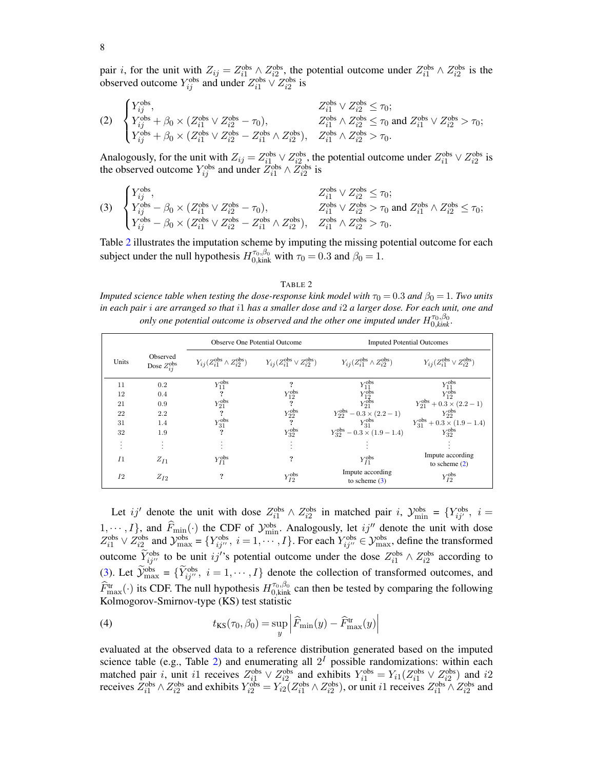pair *i*, for the unit with  $Z_{ij} = Z_{i1}^{\text{obs}} \wedge Z_{i2}^{\text{obs}}$ , the potential outcome under  $Z_{i1}^{\text{obs}} \wedge Z_{i2}^{\text{obs}}$  is the observed outcome  $Y_{ij}^{\text{obs}}$  and under  $Z_{i1}^{\text{obs}} \vee Z_{i2}^{\text{obs}}$  is

<span id="page-7-1"></span>
$$
(2) \quad\n\begin{cases}\nY_{ij}^{\text{obs}}, & Z_{i1}^{\text{obs}} \vee Z_{i2}^{\text{obs}} \leq \tau_0; \\
Y_{ij}^{\text{obs}} + \beta_0 \times (Z_{i1}^{\text{obs}} \vee Z_{i2}^{\text{obs}} - \tau_0), & Z_{i1}^{\text{obs}} \wedge Z_{i2}^{\text{obs}} \leq \tau_0 \text{ and } Z_{i1}^{\text{obs}} \vee Z_{i2}^{\text{obs}} > \tau_0; \\
Y_{ij}^{\text{obs}} + \beta_0 \times (Z_{i1}^{\text{obs}} \vee Z_{i2}^{\text{obs}} - Z_{i1}^{\text{obs}} \wedge Z_{i2}^{\text{obs}}), & Z_{i1}^{\text{obs}} \wedge Z_{i2}^{\text{obs}} > \tau_0.\n\end{cases}
$$

Analogously, for the unit with  $Z_{ij} = Z_{i1}^{\text{obs}} \vee Z_{i2}^{\text{obs}}$ , the potential outcome under  $Z_{i1}^{\text{obs}} \vee Z_{i2}^{\text{obs}}$  is the observed outcome  $Y_{ij}^{\text{obs}}$  and under  $\bar{Z}_{i1}^{\text{obs}} \wedge \bar{Z}_{i2}^{\text{obs}}$  is

<span id="page-7-2"></span>(3) 
$$
\begin{cases}\nY_{ij}^{\text{obs}}, & Z_{i1}^{\text{obs}} \vee Z_{i2}^{\text{obs}} \leq \tau_0; \\
Y_{ij}^{\text{obs}} - \beta_0 \times (Z_{i1}^{\text{obs}} \vee Z_{i2}^{\text{obs}} - \tau_0), & Z_{i1}^{\text{obs}} \vee Z_{i2}^{\text{obs}} > \tau_0 \text{ and } Z_{i1}^{\text{obs}} \wedge Z_{i2}^{\text{obs}} \leq \tau_0; \\
Y_{ij}^{\text{obs}} - \beta_0 \times (Z_{i1}^{\text{obs}} \vee Z_{i2}^{\text{obs}} - Z_{i1}^{\text{obs}} \wedge Z_{i2}^{\text{obs}}), & Z_{i1}^{\text{obs}} \wedge Z_{i2}^{\text{obs}} > \tau_0.\n\end{cases}
$$

Table [2](#page-7-0) illustrates the imputation scheme by imputing the missing potential outcome for each subject under the null hypothesis  $H_{0,kink}^{\tau_0,\beta_0}$  with  $\tau_0 = 0.3$  and  $\beta_0 = 1$ .

#### TABLE 2

<span id="page-7-0"></span>*Imputed science table when testing the dose-response kink model with*  $\tau_0 = 0.3$  *and*  $\beta_0 = 1$ *. Two units in each pair* i *are arranged so that* i1 *has a smaller dose and* i2 *a larger dose. For each unit, one and only one potential outcome is observed and the other one imputed under*  $H_{0,kink}^{\tau_0,\beta_0}$ *.* 

|                |                                     |                    | <b>Observe One Potential Outcome</b>                                                                            | <b>Imputed Potential Outcomes</b>                                                              |                                                                                                    |  |
|----------------|-------------------------------------|--------------------|-----------------------------------------------------------------------------------------------------------------|------------------------------------------------------------------------------------------------|----------------------------------------------------------------------------------------------------|--|
| Units          | Observed<br>Dose $Z_{ii}^{\rm obs}$ |                    | $Y_{ij}(Z_{i1}^{\text{obs}} \wedge Z_{i2}^{\text{obs}})$ $Y_{ij}(Z_{i1}^{\text{obs}} \vee Z_{i2}^{\text{obs}})$ | $Y_{ij}(Z_{i1}^{\rm obs} \wedge Z_{i2}^{\rm obs})$                                             | $Y_{ij}(Z_{i1}^{\rm obs} \vee Z_{i2}^{\rm obs})$                                                   |  |
| 11             | 0.2                                 | $Y_{11}^{\rm obs}$ | ?                                                                                                               | $\begin{array}{c} Y^{\text{obs}}_{11}\\ Y^{\text{obs}}_{12}\\ Y^{\text{obs}}_{21} \end{array}$ | $\frac{Y_{11}^{\text{obs}}}{Y_{12}^{\text{obs}}}$                                                  |  |
| 12             | 0.4                                 |                    | $Y_{12}^{\rm obs}$                                                                                              |                                                                                                |                                                                                                    |  |
| 21             | 0.9                                 | $Y_{21}^{\rm obs}$ | $\overline{\mathbf{r}}$                                                                                         |                                                                                                | $Y_{21}^{obs} + 0.3 \times (2.2 - 1)$<br>$Y_{22}^{obs}$                                            |  |
| 22             | 2.2                                 |                    | $Y_{22}^{\rm obs}$                                                                                              | $Y_{22}^{\text{obs}}-0.3\times(2.2-1)$                                                         |                                                                                                    |  |
| 31             | 1.4                                 | $Y_{31}^{\rm obs}$ | $\overline{\mathbf{r}}$                                                                                         | $Y_{31}^{\rm obs}$                                                                             |                                                                                                    |  |
| 32             | 1.9                                 |                    | $Y_{32}^{\rm obs}$                                                                                              | $Y_{32}^{obs} - 0.3 \times (1.9 - 1.4)$                                                        | $\begin{array}{c} Y_{31}^{\text{obs}} + 0.3 \times (1.9 - 1.4) \\ Y_{32}^{\text{obs}} \end{array}$ |  |
|                |                                     |                    |                                                                                                                 |                                                                                                |                                                                                                    |  |
| I <sub>1</sub> | $Z_{I1}$                            | $Y_{I1}^{\rm obs}$ | ?                                                                                                               | $Y_{I1}^{\rm obs}$                                                                             | Impute according<br>to scheme $(2)$                                                                |  |
| I <sub>2</sub> | $Z_{I2}$                            | ?                  | $Y_{I2}^{\rm obs}$                                                                                              | Impute according<br>to scheme $(3)$                                                            | $Y_{I2}^{\rm obs}$                                                                                 |  |

Let ij' denote the unit with dose  $Z_{i1}^{\text{obs}} \wedge Z_{i2}^{\text{obs}}$  in matched pair i,  $\mathcal{Y}_{\text{min}}^{\text{obs}} = \{Y_{ij'}^{\text{obs}}, i =$ 1,  $\cdots$ , I, and  $\widehat{F}_{\text{min}}(\cdot)$  the CDF of  $\mathcal{Y}_{\text{min}}^{\text{obs}}$ . Analogously, let  $ij''$  denote the unit with dose  $Z_{i1}^{\text{obs}} \vee Z_{i2}^{\text{obs}}$  and  $\mathcal{Y}_{\text{max}}^{\text{obs}} = \{Y_{ij''}^{\text{obs}}, i = 1, \dots, I\}$ . For each  $Y_{ij''}^{\text{obs}} \in \mathcal{Y}_{\text{max}}^{\text{obs}}$ , define the transformed outcome  $\widetilde{Y}_{ij}^{\text{obs}}$  to be unit ij''s potential outcome under the dose  $Z_{i1}^{\text{obs}} \wedge Z_{i2}^{\text{obs}}$  according to [\(3\)](#page-7-2). Let  $\mathcal{Y}_{\text{max}}^{\text{obs}} = \{ \bar{Y}_{ij}^{\text{obs}}, i = 1, \dots, I \}$  denote the collection of transformed outcomes, and  $\hat{F}_{\text{max}}^{\text{tr}}(\cdot)$  its CDF. The null hypothesis  $H_{0,\text{kink}}^{\tau_0,\beta_0}$  can then be tested by comparing the following Kolmogorov-Smirnov-type (KS) test statistic

<span id="page-7-3"></span>(4) 
$$
t_{\text{KS}}(\tau_0, \beta_0) = \sup_{y} \left| \widehat{F}_{\text{min}}(y) - \widehat{F}_{\text{max}}^{\text{tr}}(y) \right|
$$

evaluated at the observed data to a reference distribution generated based on the imputed science table (e.g., Table [2\)](#page-7-0) and enumerating all  $2<sup>I</sup>$  possible randomizations: within each matched pair *i*, unit *i*1 receives  $Z_{i1}^{\text{obs}} \vee Z_{i2}^{\text{obs}}$  and exhibits  $Y_{i1}^{\text{obs}} = Y_{i1}(Z_{i1}^{\text{obs}} \vee Z_{i2}^{\text{obs}})$  and *i*2 receives  $Z_{i1}^{\text{obs}} \wedge Z_{i2}^{\text{obs}}$  and exhibits  $Y_{i2}^{\text{obs}} = Y_{i2}(Z_{i1}^{\text{obs}} \wedge Z_{i2}^{\text{obs}})$ , or unit *i*1 receives  $Z_{i1}^{\text{obs}} \wedge Z_{i2}^{\text{obs}}$  and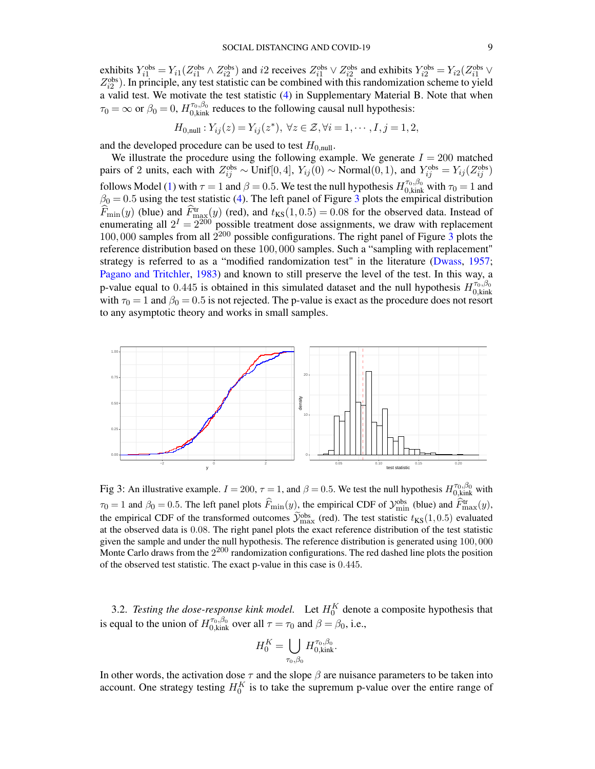exhibits  $Y_{i1}^{\text{obs}} = Y_{i1}(Z_{i1}^{\text{obs}} \wedge Z_{i2}^{\text{obs}})$  and  $i2$  receives  $Z_{i1}^{\text{obs}} \vee Z_{i2}^{\text{obs}}$  and exhibits  $Y_{i2}^{\text{obs}} = Y_{i2}(Z_{i1}^{\text{obs}} \vee Z_{i1}^{\text{obs}})$  $Z_{i2}^{obs}$ ). In principle, any test statistic can be combined with this randomization scheme to yield a valid test. We motivate the test statistic [\(4\)](#page-7-3) in Supplementary Material B. Note that when  $\tau_0 = \infty$  or  $\beta_0 = 0$ ,  $H_{0,kink}^{\tau_0,\beta_0}$  reduces to the following causal null hypothesis:

$$
H_{0,\text{null}}: Y_{ij}(z) = Y_{ij}(z^*), \ \forall z \in \mathcal{Z}, \forall i = 1, \cdots, I, j = 1, 2,
$$

and the developed procedure can be used to test  $H_{0,\text{null}}$ .

We illustrate the procedure using the following example. We generate  $I = 200$  matched pairs of 2 units, each with  $Z_{ij}^{\text{obs}} \sim \text{Unif}[0,4]$ ,  $Y_{ij}(0) \sim \text{Normal}(0,1)$ , and  $Y_{ij}^{\text{obs}} = Y_{ij}(Z_{ij}^{\text{obs}})$ follows Model [\(1\)](#page-1-0) with  $\tau = 1$  and  $\beta = 0.5$ . We test the null hypothesis  $H_{0,kink}^{\tau_0,\beta_0}$  with  $\tau_0 = 1$  and  $\beta_0 = 0.5$  using the test statistic [\(4\)](#page-7-3). The left panel of Figure [3](#page-8-0) plots the empirical distribution  $F_{\text{min}}(y)$  (blue) and  $\hat{F}_{\text{max}}^{\text{tr}}(y)$  (red), and  $t_{\text{KS}}(1, 0.5) = 0.08$  for the observed data. Instead of enumerating all  $2^I = 2^{200}$  possible treatment dose assignments, we draw with replacement 100, 000 samples from all  $2^{200}$  possible configurations. The right panel of Figure [3](#page-8-0) plots the reference distribution based on these 100, 000 samples. Such a "sampling with replacement" strategy is referred to as a "modified randomization test" in the literature [\(Dwass,](#page-28-12) [1957;](#page-28-12) [Pagano and Tritchler,](#page-28-13) [1983\)](#page-28-13) and known to still preserve the level of the test. In this way, a p-value equal to 0.445 is obtained in this simulated dataset and the null hypothesis  $H_{0,kin}^{\tau_0,\beta_0}$ p-value equal to 0.445 is obtained in this simulated dataset and the null hypothesis  $H_{0,kink}$  with  $\tau_0 = 1$  and  $\beta_0 = 0.5$  is not rejected. The p-value is exact as the procedure does not resort to any asymptotic theory and works in small samples.

<span id="page-8-0"></span>

Fig 3: An illustrative example.  $I = 200$ ,  $\tau = 1$ , and  $\beta = 0.5$ . We test the null hypothesis  $H_{0,kink}^{\tau_0,\beta_0}$  with  $\tau_0 = 1$  and  $\beta_0 = 0.5$ . The left panel plots  $\hat{F}_{\text{min}}(y)$ , the empirical CDF of  $\mathcal{Y}_{\text{min}}^{\text{obs}}$  (blue) and  $\hat{F}_{\text{max}}^{\text{tr}}(y)$ , the empirical CDF of the transformed outcomes  $\widetilde{\mathcal{Y}}_{\text{max}}^{\text{obs}}$  (red). The test statistic  $t_{\text{KS}}(1, 0.5)$  evaluated at the observed data is 0.08. The right panel plots the exact reference distribution of the test statistic given the sample and under the null hypothesis. The reference distribution is generated using 100, 000 Monte Carlo draws from the  $2^{200}$  randomization configurations. The red dashed line plots the position of the observed test statistic. The exact p-value in this case is 0.445.

3.2. *Testing the dose-response kink model.* Let  $H_0^K$  denote a composite hypothesis that is equal to the union of  $H_{0,kink}^{\tau_0,\beta_0}$  over all  $\tau = \tau_0$  and  $\beta = \beta_0$ , i.e.,

$$
H_0^K = \bigcup_{\tau_0, \beta_0} H_{0,\text{kink}}^{\tau_0, \beta_0}.
$$

In other words, the activation dose  $\tau$  and the slope  $\beta$  are nuisance parameters to be taken into account. One strategy testing  $H_0^K$  is to take the supremum p-value over the entire range of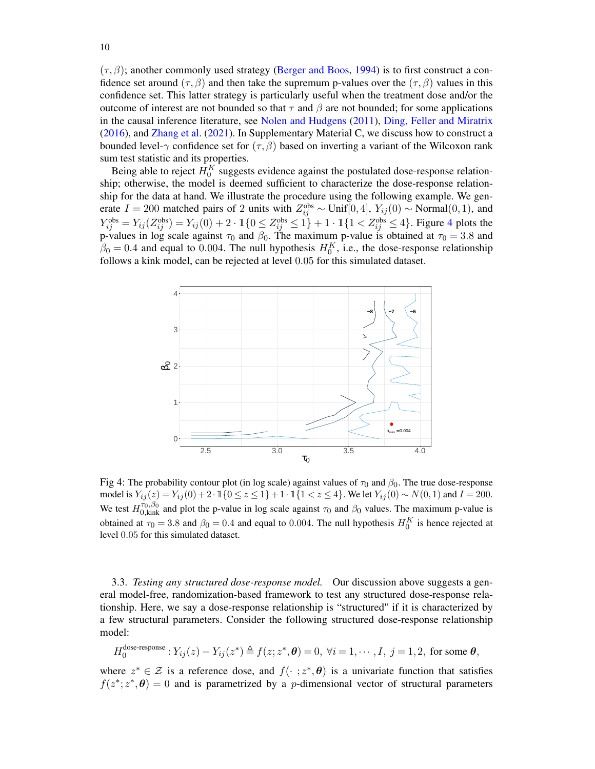$(\tau, \beta)$ ; another commonly used strategy [\(Berger and Boos,](#page-27-2) [1994\)](#page-27-2) is to first construct a confidence set around ( $\tau$ ,  $\beta$ ) and then take the supremum p-values over the ( $\tau$ ,  $\beta$ ) values in this confidence set. This latter strategy is particularly useful when the treatment dose and/or the outcome of interest are not bounded so that  $\tau$  and  $\beta$  are not bounded; for some applications in the causal inference literature, see [Nolen and Hudgens](#page-28-14) [\(2011\)](#page-28-14), [Ding, Feller and Miratrix](#page-28-5) [\(2016\)](#page-28-5), and [Zhang et al.](#page-29-13) [\(2021\)](#page-29-13). In Supplementary Material C, we discuss how to construct a bounded level-γ confidence set for  $(\tau, \beta)$  based on inverting a variant of the Wilcoxon rank sum test statistic and its properties.

Being able to reject  $H_0^K$  suggests evidence against the postulated dose-response relationship; otherwise, the model is deemed sufficient to characterize the dose-response relationship for the data at hand. We illustrate the procedure using the following example. We generate  $I = 200$  matched pairs of 2 units with  $Z_{ij}^{\text{obs}} \sim \text{Unif}[0,4]$ ,  $Y_{ij}(0) \sim \text{Normal}(0,1)$ , and  $Y_{ij}^{\text{obs}} = Y_{ij}(Z_{ij}^{\text{obs}}) = Y_{ij}(0) + 2 \cdot \mathbb{I}\{0 \leq Z_{ij}^{\text{obs}} \leq 1\} + 1 \cdot \mathbb{I}\{1 < Z_{ij}^{\text{obs}} \leq 4\}.$  $Y_{ij}^{\text{obs}} = Y_{ij}(Z_{ij}^{\text{obs}}) = Y_{ij}(0) + 2 \cdot \mathbb{I}\{0 \leq Z_{ij}^{\text{obs}} \leq 1\} + 1 \cdot \mathbb{I}\{1 < Z_{ij}^{\text{obs}} \leq 4\}.$  $Y_{ij}^{\text{obs}} = Y_{ij}(Z_{ij}^{\text{obs}}) = Y_{ij}(0) + 2 \cdot \mathbb{I}\{0 \leq Z_{ij}^{\text{obs}} \leq 1\} + 1 \cdot \mathbb{I}\{1 < Z_{ij}^{\text{obs}} \leq 4\}.$  Figure 4 plots the p-values in log scale against  $\tau_0$  and  $\beta_0$ . The maximum p-value is obtained at  $\tau_0 = 3.8$  and  $\beta_0 = 0.4$  and equal to 0.004. The null hypothesis  $H_0^K$ , i.e., the dose-response relationship follows a kink model, can be rejected at level 0.05 for this simulated dataset.

<span id="page-9-0"></span>

Fig 4: The probability contour plot (in log scale) against values of  $\tau_0$  and  $\beta_0$ . The true dose-response model is  $Y_{ij}(z) = Y_{ij}(0) + 2 \cdot 1$  { $0 \le z \le 1$ } + 1 · 1{1 < z ≤ 4}. We let  $Y_{ij}(0) \sim N(0, 1)$  and  $I = 200$ . We test  $H_{0,kink}^{\tau_0,\beta_0}$  and plot the p-value in log scale against  $\tau_0$  and  $\beta_0$  values. The maximum p-value is obtained at  $\tau_0 = 3.8$  and  $\beta_0 = 0.4$  and equal to 0.004. The null hypothesis  $H_0^K$  is hence rejected at level 0.05 for this simulated dataset.

3.3. *Testing any structured dose-response model.* Our discussion above suggests a general model-free, randomization-based framework to test any structured dose-response relationship. Here, we say a dose-response relationship is "structured" if it is characterized by a few structural parameters. Consider the following structured dose-response relationship model:

$$
H_0^{\text{dose-response}}: Y_{ij}(z) - Y_{ij}(z^*) \triangleq f(z; z^*, \boldsymbol{\theta}) = 0, \ \forall i = 1, \cdots, I, \ j = 1, 2, \text{ for some } \boldsymbol{\theta},
$$

where  $z^* \in \mathcal{Z}$  is a reference dose, and  $f(\cdot ; z^*, \theta)$  is a univariate function that satisfies  $f(z^*, z^*, \theta) = 0$  and is parametrized by a *p*-dimensional vector of structural parameters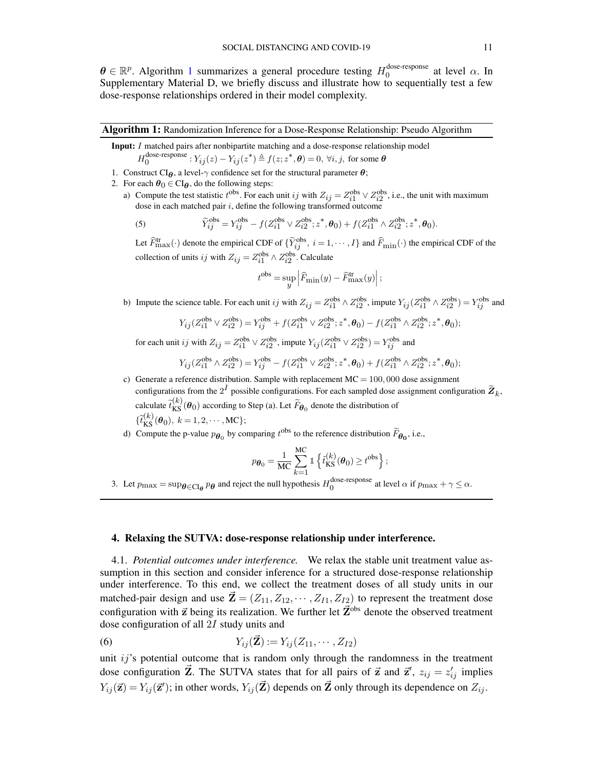$\boldsymbol{\theta} \in \mathbb{R}^p$ . Algorithm [1](#page-10-0) summarizes a general procedure testing  $H_0^{\text{dose-response}}$  $_{0}^{\text{uose-response}}$  at level  $\alpha$ . In Supplementary Material D, we briefly discuss and illustrate how to sequentially test a few dose-response relationships ordered in their model complexity.

### Algorithm 1: Randomization Inference for a Dose-Response Relationship: Pseudo Algorithm

<span id="page-10-0"></span>Input: I matched pairs after nonbipartite matching and a dose-response relationship model  $H_0^{\text{dose-response}}: Y_{ij}(z) - Y_{ij}(z^*) \triangleq f(z; z^*, \boldsymbol{\theta}) = 0, \ \forall i, j, \text{ for some } \boldsymbol{\theta}$ 

- 1. Construct CI $_{\theta}$ , a level- $\gamma$  confidence set for the structural parameter  $\theta$ ;
- 2. For each  $\theta_0 \in CI_{\theta}$ , do the following steps:
	- a) Compute the test statistic  $t^{obs}$ . For each unit ij with  $Z_{ij} = Z_{i1}^{obs} \vee Z_{i2}^{obs}$ , i.e., the unit with maximum dose in each matched pair  $i$ , define the following transformed outcome

(5) 
$$
\widetilde{Y}_{ij}^{\text{obs}} = Y_{ij}^{\text{obs}} - f(Z_{i1}^{\text{obs}} \vee Z_{i2}^{\text{obs}}; z^*, \theta_0) + f(Z_{i1}^{\text{obs}} \wedge Z_{i2}^{\text{obs}}; z^*, \theta_0).
$$

Let  $\widehat{F}_{\text{max}}^{\text{tr}}(\cdot)$  denote the empirical CDF of  $\{\widetilde{Y}_{ij}^{\text{obs}}, i = 1, \cdots, I\}$  and  $\widehat{F}_{\text{min}}(\cdot)$  the empirical CDF of the collection of units ij with  $Z_{ij} = Z_{i1}^{obs} \wedge Z_{i2}^{obs}$ . Calculate

$$
t^{\text{obs}} = \sup_{y} \left| \widehat{F}_{\text{min}}(y) - \widehat{F}_{\text{max}}^{\text{tr}}(y) \right|;
$$

b) Impute the science table. For each unit ij with  $Z_{ij} = Z_{i1}^{obs} \wedge Z_{i2}^{obs}$ , impute  $Y_{ij}(Z_{i1}^{obs} \wedge Z_{i2}^{obs}) = Y_{ij}^{obs}$  and

$$
Y_{ij}(Z_{i1}^{\text{obs}} \vee Z_{i2}^{\text{obs}}) = Y_{ij}^{\text{obs}} + f(Z_{i1}^{\text{obs}} \vee Z_{i2}^{\text{obs}}; z^*, \theta_0) - f(Z_{i1}^{\text{obs}} \wedge Z_{i2}^{\text{obs}}; z^*, \theta_0);
$$

for each unit ij with  $Z_{ij} = Z_{i1}^{obs} \vee Z_{i2}^{obs}$ , impute  $Y_{ij} (Z_{i1}^{obs} \vee Z_{i2}^{obs}) = Y_{ij}^{obs}$  and

$$
Y_{ij}(Z_{i1}^{\text{obs}} \wedge Z_{i2}^{\text{obs}}) = Y_{ij}^{\text{obs}} - f(Z_{i1}^{\text{obs}} \vee Z_{i2}^{\text{obs}}; z^*, \theta_0) + f(Z_{i1}^{\text{obs}} \wedge Z_{i2}^{\text{obs}}; z^*, \theta_0);
$$

c) Generate a reference distribution. Sample with replacement  $MC = 100,000$  dose assignment configurations from the  $2^I$  possible configurations. For each sampled dose assignment configuration  $\widetilde{Z}_k$ , calculate  $\tilde{t}_{KS}^{(k)}(\theta_0)$  according to Step (a). Let  $\tilde{F}_{\theta_0}$  denote the distribution of  $\{t_{\text{KS}}^{(k)}(\theta_0), k = 1, 2, \cdots, \text{MC}\};$ 

d) Compute the p-value  $p_{\theta_0}$  by comparing  $t^{obs}$  to the reference distribution  $\widetilde{F}_{\theta_0}$ , i.e.,

$$
p_{\boldsymbol{\theta}_0} = \frac{1}{\mathrm{MC}} \sum_{k=1}^{\mathrm{MC}} \mathbb{1} \left\{ \tilde{t}_{\mathrm{KS}}^{(k)}(\boldsymbol{\theta}_0) \ge t^{\mathrm{obs}} \right\};
$$

3. Let  $p_{\text{max}} = \sup_{\theta \in \text{CI}_{\theta}} p_{\theta}$  and reject the null hypothesis  $H_0^{\text{dose-response}}$  at level  $\alpha$  if  $p_{\text{max}} + \gamma \leq \alpha$ .

## <span id="page-10-2"></span>4. Relaxing the SUTVA: dose-response relationship under interference.

4.1. *Potential outcomes under interference.* We relax the stable unit treatment value assumption in this section and consider inference for a structured dose-response relationship under interference. To this end, we collect the treatment doses of all study units in our matched-pair design and use  $\mathbf{Z} = (Z_{11}, Z_{12}, \cdots, Z_{I1}, Z_{I2})$  to represent the treatment dose configuration with  $\vec{z}$  being its realization. We further let  $\vec{Z}^{obs}$  denote the observed treatment dose configuration of all 2I study units and

<span id="page-10-1"></span>(6) 
$$
Y_{ij}(\vec{Z}) := Y_{ij}(Z_{11}, \cdots, Z_{I2})
$$

unit  $ij$ 's potential outcome that is random only through the randomness in the treatment dose configuration  $\vec{Z}$ . The SUTVA states that for all pairs of  $\vec{z}$  and  $\vec{z}'$ ,  $z_{ij} = z'_{ij}$  implies  $Y_{ij}(\vec{z}) = Y_{ij}(\vec{z}')$ ; in other words,  $Y_{ij}(\vec{Z})$  depends on  $\vec{Z}$  only through its dependence on  $Z_{ij}$ .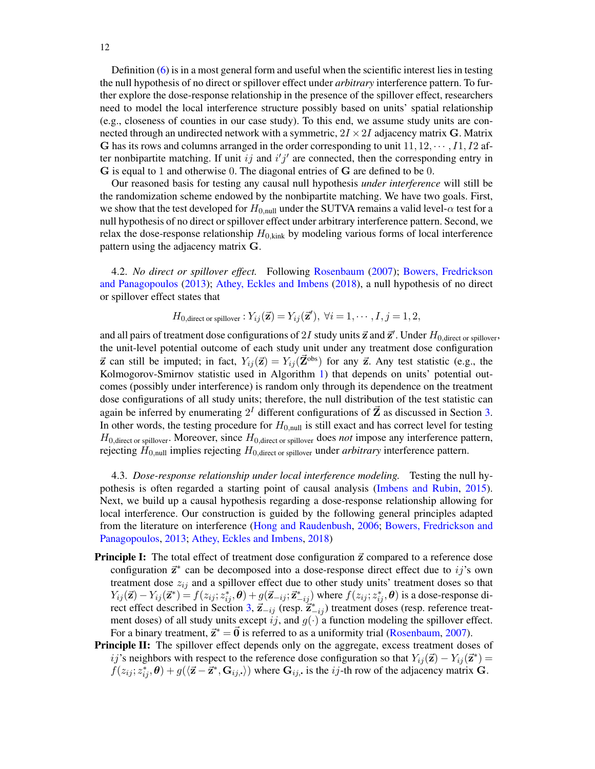Definition [\(6\)](#page-10-1) is in a most general form and useful when the scientific interest lies in testing the null hypothesis of no direct or spillover effect under *arbitrary* interference pattern. To further explore the dose-response relationship in the presence of the spillover effect, researchers need to model the local interference structure possibly based on units' spatial relationship (e.g., closeness of counties in our case study). To this end, we assume study units are connected through an undirected network with a symmetric,  $2I \times 2I$  adjacency matrix G. Matrix G has its rows and columns arranged in the order corresponding to unit  $11, 12, \dots, I1, I2$  after nonbipartite matching. If unit ij and  $i'j'$  are connected, then the corresponding entry in G is equal to 1 and otherwise 0. The diagonal entries of G are defined to be 0.

Our reasoned basis for testing any causal null hypothesis *under interference* will still be the randomization scheme endowed by the nonbipartite matching. We have two goals. First, we show that the test developed for  $H_{0,\text{null}}$  under the SUTVA remains a valid level- $\alpha$  test for a null hypothesis of no direct or spillover effect under arbitrary interference pattern. Second, we relax the dose-response relationship  $H_{0,kink}$  by modeling various forms of local interference pattern using the adjacency matrix G.

4.2. *No direct or spillover effect.* Following [Rosenbaum](#page-29-14) [\(2007\)](#page-29-14); [Bowers, Fredrickson](#page-27-3) [and Panagopoulos](#page-27-3) [\(2013\)](#page-27-3); [Athey, Eckles and Imbens](#page-26-4) [\(2018\)](#page-26-4), a null hypothesis of no direct or spillover effect states that

$$
H_{0,\text{direct or spillover}}: Y_{ij}(\vec{\mathbf{z}}) = Y_{ij}(\vec{\mathbf{z}}'), \ \forall i = 1, \cdots, I, j = 1, 2,
$$

and all pairs of treatment dose configurations of 2I study units  $\vec{z}$  and  $\vec{z}'$ . Under  $H_{0,\text{direct or spillover}}$ , the unit-level potential outcome of each study unit under any treatment dose configuration  $\vec{z}$  can still be imputed; in fact,  $Y_{ij}(\vec{z}) = Y_{ij}(\vec{Z}^{obs})$  for any  $\vec{z}$ . Any test statistic (e.g., the Kolmogorov-Smirnov statistic used in Algorithm [1\)](#page-10-0) that depends on units' potential outcomes (possibly under interference) is random only through its dependence on the treatment dose configurations of all study units; therefore, the null distribution of the test statistic can again be inferred by enumerating  $2^I$  different configurations of  $\vec{Z}$  as discussed in Section [3.](#page-6-1) In other words, the testing procedure for  $H_{0,null}$  is still exact and has correct level for testing  $H_{0,\text{direct or spillover}}$ . Moreover, since  $H_{0,\text{direct or spillover}}$  does *not* impose any interference pattern, rejecting H0,null implies rejecting H0,direct or spillover under *arbitrary* interference pattern.

<span id="page-11-0"></span>4.3. *Dose-response relationship under local interference modeling.* Testing the null hypothesis is often regarded a starting point of causal analysis [\(Imbens and Rubin,](#page-28-15) [2015\)](#page-28-15). Next, we build up a causal hypothesis regarding a dose-response relationship allowing for local interference. Our construction is guided by the following general principles adapted from the literature on interference [\(Hong and Raudenbush,](#page-28-16) [2006;](#page-28-16) [Bowers, Fredrickson and](#page-27-3) [Panagopoulos,](#page-27-3) [2013;](#page-27-3) [Athey, Eckles and Imbens,](#page-26-4) [2018\)](#page-26-4)

- **Principle I:** The total effect of treatment dose configuration  $\vec{z}$  compared to a reference dose configuration  $\vec{z}^*$  can be decomposed into a dose-response direct effect due to ij's own treatment dose  $z_{ij}$  and a spillover effect due to other study units' treatment doses so that  $Y_{ij}(\vec{z}) - Y_{ij}(\vec{z}^*) = f(z_{ij}; z_{ij}^*, \theta) + g(\vec{z}_{-ij}; \vec{z}_{-ij}^*)$  where  $f(z_{ij}; z_{ij}^*, \theta)$  is a dose-response di-rect effect described in Section [3,](#page-6-1)  $\vec{z}_{-ij}$  (resp.  $\vec{z}_{-ij}^*$ ) treatment doses (resp. reference treatment doses) of all study units except ij, and  $g(\cdot)$  a function modeling the spillover effect. For a binary treatment,  $\vec{z}^* = \vec{0}$  is referred to as a uniformity trial [\(Rosenbaum,](#page-29-14) [2007\)](#page-29-14).
- Principle II: The spillover effect depends only on the aggregate, excess treatment doses of ij's neighbors with respect to the reference dose configuration so that  $Y_{ij}(\vec{z}) - Y_{ij}(\vec{z}^*) =$  $f(z_{ij}; z_{ij}^*, \theta) + g(\langle \vec{\mathbf{z}} - \vec{\mathbf{z}}^*, \mathbf{G}_{ij, \cdot} \rangle)$  where  $\mathbf{G}_{ij}$ , is the *ij*-th row of the adjacency matrix  $\mathbf{G}$ .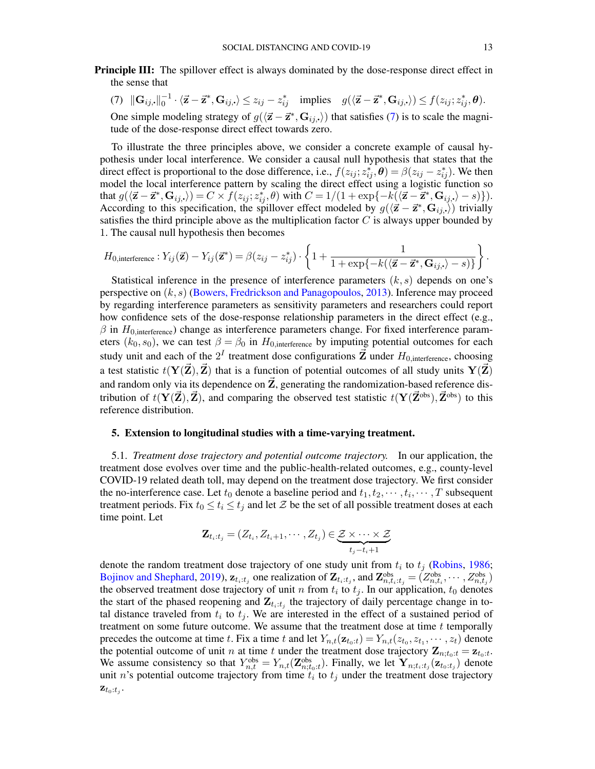- <span id="page-12-0"></span>Principle III: The spillover effect is always dominated by the dose-response direct effect in the sense that
	- (7)  $\|\mathbf{G}_{ij}, \|\_0^{-1} \cdot \langle \vec{\mathbf{z}} \vec{\mathbf{z}}^*, \mathbf{G}_{ij, \cdot} \rangle \leq z_{ij} z_{ij}^*$  implies  $g(\langle \vec{\mathbf{z}} \vec{\mathbf{z}}^*, \mathbf{G}_{ij, \cdot} \rangle) \leq f(z_{ij}; z_{ij}^*, \boldsymbol{\theta}).$ One simple modeling strategy of  $g(\langle \vec{z} - \vec{z}^*, \mathbf{G}_{ij,} \rangle)$  that satisfies [\(7\)](#page-12-0) is to scale the magnitude of the dose-response direct effect towards zero.

To illustrate the three principles above, we consider a concrete example of causal hypothesis under local interference. We consider a causal null hypothesis that states that the direct effect is proportional to the dose difference, i.e.,  $f(z_{ij}; z_{ij}^*, \theta) = \beta(z_{ij} - z_{ij}^*)$ . We then model the local interference pattern by scaling the direct effect using a logistic function so that  $g(\langle \vec{z} - \vec{z}^*, \mathbf{G}_{ij}, \cdot \rangle) = C \times f(z_{ij}; z_{ij}^*, \theta)$  with  $C = 1/(1 + \exp\{-k(\langle \vec{z} - \vec{z}^*, \mathbf{G}_{ij}, \cdot \rangle - s)\}).$ According to this specification, the spillover effect modeled by  $g((\vec{z} - \vec{z}^*, \mathbf{G}_{ij},))$  trivially satisfies the third principle above as the multiplication factor  $C$  is always upper bounded by 1. The causal null hypothesis then becomes

$$
H_{0,\text{interference}}: Y_{ij}(\vec{\mathbf{z}}) - Y_{ij}(\vec{\mathbf{z}}^*) = \beta(z_{ij} - z_{ij}^*) \cdot \left\{ 1 + \frac{1}{1 + \exp\{-k(\langle \vec{\mathbf{z}} - \vec{\mathbf{z}}^*, \mathbf{G}_{ij,\cdot}\rangle - s)\}} \right\}.
$$

Statistical inference in the presence of interference parameters  $(k, s)$  depends on one's perspective on  $(k, s)$  [\(Bowers, Fredrickson and Panagopoulos,](#page-27-3) [2013\)](#page-27-3). Inference may proceed by regarding interference parameters as sensitivity parameters and researchers could report how confidence sets of the dose-response relationship parameters in the direct effect (e.g.,  $\beta$  in  $H_{0,\text{interference}}$ ) change as interference parameters change. For fixed interference parameters  $(k_0, s_0)$ , we can test  $\beta = \beta_0$  in  $H_{0,interference}$  by imputing potential outcomes for each study unit and each of the  $2^I$  treatment dose configurations  $\vec{\mathbf{Z}}$  under  $H_{0,\text{interference}}$ , choosing a test statistic  $t(Y(\vec{Z}), \vec{Z})$  that is a function of potential outcomes of all study units  $Y(\vec{Z})$ and random only via its dependence on  $\vec{Z}$ , generating the randomization-based reference distribution of  $t(Y(\vec{Z}), \vec{Z})$ , and comparing the observed test statistic  $t(Y(\vec{Z}^{\text{obs}}), \vec{Z}^{\text{obs}})$  to this reference distribution.

# 5. Extension to longitudinal studies with a time-varying treatment.

5.1. *Treatment dose trajectory and potential outcome trajectory.* In our application, the treatment dose evolves over time and the public-health-related outcomes, e.g., county-level COVID-19 related death toll, may depend on the treatment dose trajectory. We first consider the no-interference case. Let  $t_0$  denote a baseline period and  $t_1, t_2, \dots, t_i, \dots, T$  subsequent treatment periods. Fix  $t_0 \le t_i \le t_j$  and let  $\mathcal Z$  be the set of all possible treatment doses at each time point. Let

$$
\mathbf{Z}_{t_i:t_j} = (Z_{t_i}, Z_{t_i+1}, \cdots, Z_{t_j}) \in \underbrace{\mathcal{Z} \times \cdots \times \mathcal{Z}}_{t_j-t_i+1}
$$

denote the random treatment dose trajectory of one study unit from  $t_i$  to  $t_j$  [\(Robins,](#page-28-17) [1986;](#page-28-17) [Bojinov and Shephard,](#page-27-4) [2019\)](#page-27-4),  $\mathbf{z}_{t_i:t_j}$  one realization of  $\mathbf{Z}_{t_i:t_j}$ , and  $\mathbf{Z}_{n,t_i:t_j}^{obs} = (Z_{n,t_i}^{obs}, \cdots, Z_{n,t_j}^{obs})$ the observed treatment dose trajectory of unit n from  $t_i$  to  $t_j$ . In our application,  $t_0$  denotes the start of the phased reopening and  $\mathbf{Z}_{t_i:t_j}$  the trajectory of daily percentage change in total distance traveled from  $t_i$  to  $t_j$ . We are interested in the effect of a sustained period of treatment on some future outcome. We assume that the treatment dose at time  $t$  temporally precedes the outcome at time t. Fix a time t and let  $Y_{n,t}(\mathbf{z}_{t_0:t}) = Y_{n,t}(z_{t_0}, z_{t_1}, \dots, z_t)$  denote the potential outcome of unit *n* at time *t* under the treatment dose trajectory  $\mathbf{Z}_{n;t_0:t} = \mathbf{z}_{t_0:t}$ . We assume consistency so that  $Y_{n,t}^{obs} = Y_{n,t}(\mathbf{Z}_{n;t_0:t}^{obs})$ . Finally, we let  $\mathbf{Y}_{n;t_i:t_j}(\mathbf{z}_{t_0:t_j})$  denote unit *n*'s potential outcome trajectory from time  $t_i$  to  $t_j$  under the treatment dose trajectory  $\mathbf{z}_{t_0:t_j}$ .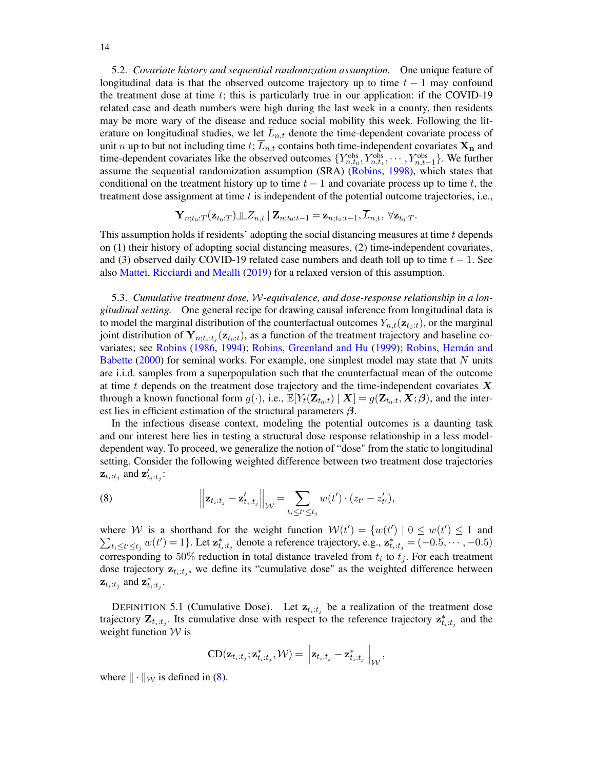5.2. *Covariate history and sequential randomization assumption.* One unique feature of longitudinal data is that the observed outcome trajectory up to time  $t - 1$  may confound the treatment dose at time  $t$ ; this is particularly true in our application: if the COVID-19 related case and death numbers were high during the last week in a county, then residents may be more wary of the disease and reduce social mobility this week. Following the literature on longitudinal studies, we let  $\overline{L}_{n,t}$  denote the time-dependent covariate process of unit n up to but not including time t;  $\overline{L}_{n,t}$  contains both time-independent covariates  $\mathbf{X}_n$  and time-dependent covariates like the observed outcomes  $\{Y_{n,t_0}^{\text{obs}}, Y_{n,t_1}^{\text{obs}}, \cdots, Y_{n,t-1}^{\text{obs}}\}$ . We further assume the sequential randomization assumption (SRA) [\(Robins,](#page-28-18) [1998\)](#page-28-18), which states that conditional on the treatment history up to time  $t - 1$  and covariate process up to time t, the treatment dose assignment at time  $t$  is independent of the potential outcome trajectories, i.e.,

$$
\mathbf{Y}_{n;t_0:T}(\mathbf{z}_{t_0:T})\bot \hspace{-0.12cm} \bot Z_{n,t} \mid \mathbf{Z}_{n;t_0:t-1} = \mathbf{z}_{n;t_0:t-1}, L_{n,t}, \ \forall \mathbf{z}_{t_0:T}.
$$

This assumption holds if residents' adopting the social distancing measures at time  $t$  depends on (1) their history of adopting social distancing measures, (2) time-independent covariates, and (3) observed daily COVID-19 related case numbers and death toll up to time  $t - 1$ . See also [Mattei, Ricciardi and Mealli](#page-28-19) [\(2019\)](#page-28-19) for a relaxed version of this assumption.

<span id="page-13-2"></span>5.3. *Cumulative treatment dose,* W*-equivalence, and dose-response relationship in a longitudinal setting.* One general recipe for drawing causal inference from longitudinal data is to model the marginal distribution of the counterfactual outcomes  $Y_{n,t}(\mathbf{z}_{t_0:t})$ , or the marginal joint distribution of  $Y_{n;t_i:t_j}(\mathbf{z}_{t_0:t})$ , as a function of the treatment trajectory and baseline covariates; see [Robins](#page-28-17) [\(1986,](#page-28-17) [1994\)](#page-28-20); [Robins, Greenland and Hu](#page-29-15) [\(1999\)](#page-29-15); [Robins, Hernán and](#page-29-16) [Babette](#page-29-16) [\(2000\)](#page-29-16) for seminal works. For example, one simplest model may state that N units are i.i.d. samples from a superpopulation such that the counterfactual mean of the outcome at time t depends on the treatment dose trajectory and the time-independent covariates  $\boldsymbol{X}$ through a known functional form  $g(\cdot)$ , i.e.,  $\mathbb{E}[Y_t(\mathbf{Z}_{t_0:t}) | \mathbf{X}] = g(\mathbf{Z}_{t_0:t}, \mathbf{X}; \boldsymbol{\beta})$ , and the interest lies in efficient estimation of the structural parameters  $\beta$ .

In the infectious disease context, modeling the potential outcomes is a daunting task and our interest here lies in testing a structural dose response relationship in a less modeldependent way. To proceed, we generalize the notion of "dose" from the static to longitudinal setting. Consider the following weighted difference between two treatment dose trajectories  $\mathbf{z}_{t_i:t_j}$  and  $\mathbf{z}'_{t_i:t_j}$ :

<span id="page-13-0"></span>(8) 
$$
\left\| \mathbf{z}_{t_i:t_j} - \mathbf{z}'_{t_i:t_j} \right\|_{\mathcal{W}} = \sum_{t_i \leq t' \leq t_j} w(t') \cdot (z_{t'} - z'_{t'}),
$$

where W is a shorthand for the weight function  $W(t') = \{w(t') | 0 \le w(t') \le 1 \text{ and } w(t') \le 1\}$  $\sum_{t_i \le t' \le t_j} w(t') = 1$ . Let  $\mathbf{z}_{t_i:t_j}^*$  denote a reference trajectory, e.g.,  $\mathbf{z}_{t_i:t_j}^* = (-0.5, \cdots, -0.5)$ corresponding to 50% reduction in total distance traveled from  $t_i$  to  $t_j$ . For each treatment dose trajectory  $z_{t_i:t_j}$ , we define its "cumulative dose" as the weighted difference between  $\mathbf{z}_{t_i:t_j}$  and  $\mathbf{z}_{t_i:t_j}^*$ .

<span id="page-13-1"></span>DEFINITION 5.1 (Cumulative Dose). Let  $z_{t_i:t_j}$  be a realization of the treatment dose trajectory  $\mathbf{Z}_{t_i:t_j}$ . Its cumulative dose with respect to the reference trajectory  $\mathbf{z}_{t_i:t_j}^*$  and the weight function  $W$  is

$$
\text{CD}(\mathbf{z}_{t_i:t_j};\mathbf{z}_{t_i:t_j}^*,\mathcal{W}) = \left\|\mathbf{z}_{t_i:t_j} - \mathbf{z}_{t_i:t_j}^*\right\|_{\mathcal{W}},
$$

where  $\|\cdot\|_{\mathcal{W}}$  is defined in [\(8\)](#page-13-0).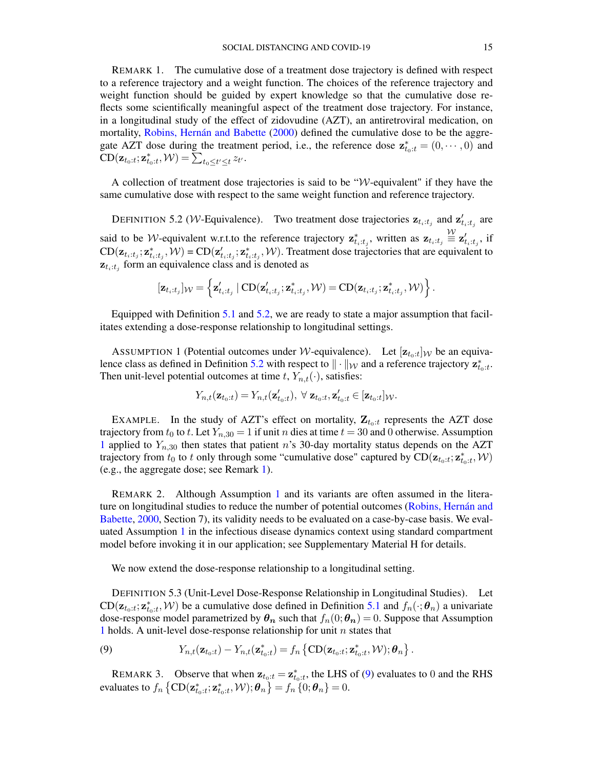<span id="page-14-2"></span>REMARK 1. The cumulative dose of a treatment dose trajectory is defined with respect to a reference trajectory and a weight function. The choices of the reference trajectory and weight function should be guided by expert knowledge so that the cumulative dose reflects some scientifically meaningful aspect of the treatment dose trajectory. For instance, in a longitudinal study of the effect of zidovudine (AZT), an antiretroviral medication, on mortality, [Robins, Hernán and Babette](#page-29-16) [\(2000\)](#page-29-16) defined the cumulative dose to be the aggregate AZT dose during the treatment period, i.e., the reference dose  $\mathbf{z}_{t_0:t}^* = (0, \dots, 0)$  and  $CD(\mathbf{z}_{t_0:t}; \mathbf{z}_{t_0:t}^*, \mathcal{W}) = \sum_{t_0 \le t' \le t} z_{t'}$ .

A collection of treatment dose trajectories is said to be " $W$ -equivalent" if they have the same cumulative dose with respect to the same weight function and reference trajectory.

<span id="page-14-0"></span>DEFINITION 5.2 (*W*-Equivalence). Two treatment dose trajectories  $z_{t_i:t_j}$  and  $z'_{t_i:t_j}$  are said to be *W*-equivalent w.r.t.to the reference trajectory  $\mathbf{z}_{t_i:t_j}^*$ , written as  $\mathbf{z}_{t_i:t_j} \stackrel{\text{W}}{=} \mathbf{z}_{t_i:t_j}$ , if  $CD(z_{t_i:t_j}; z_{t_i:t_j}^*, \mathcal{W}) = CD(z'_{t_i:t_j}; z_{t_i:t_j}^*, \mathcal{W})$ . Treatment dose trajectories that are equivalent to  $z_{t_i:t_j}$  form an equivalence class and is denoted as

$$
[\mathbf{z}_{t_i:t_j}]_{\mathcal{W}} = \left\{ \mathbf{z}'_{t_i:t_j} \mid \mathrm{CD}(\mathbf{z}'_{t_i:t_j}; \mathbf{z}^*_{t_i:t_j}, \mathcal{W}) = \mathrm{CD}(\mathbf{z}_{t_i:t_j}; \mathbf{z}^*_{t_i:t_j}, \mathcal{W}) \right\}.
$$

Equipped with Definition [5.1](#page-13-1) and [5.2,](#page-14-0) we are ready to state a major assumption that facilitates extending a dose-response relationship to longitudinal settings.

<span id="page-14-1"></span>ASSUMPTION 1 (Potential outcomes under *W*-equivalence). Let  $[\mathbf{z}_{t_0:t}]_W$  be an equiva-lence class as defined in Definition [5.2](#page-14-0) with respect to  $\|\cdot\|_{\mathcal{W}}$  and a reference trajectory  $\mathbf{z}_{t_0:t}^*$ . Then unit-level potential outcomes at time t,  $Y_{n,t}(\cdot)$ , satisfies:

$$
Y_{n,t}(\mathbf{z}_{t_0:t}) = Y_{n,t}(\mathbf{z}'_{t_0:t}), \; \forall \; \mathbf{z}_{t_0:t}, \mathbf{z}'_{t_0:t} \in [\mathbf{z}_{t_0:t}]_{\mathcal{W}}.
$$

EXAMPLE. In the study of AZT's effect on mortality,  $\mathbf{Z}_{t_0:t}$  represents the AZT dose trajectory from  $t_0$  to t. Let  $Y_{n,30} = 1$  if unit n dies at time  $t = 30$  and 0 otherwise. Assumption [1](#page-14-1) applied to  $Y_{n,30}$  then states that patient n's 30-day mortality status depends on the AZT trajectory from  $t_0$  to t only through some "cumulative dose" captured by  $CD(\mathbf{z}_{t_0:t}; \mathbf{z}_{t_0:t}^*, \mathcal{W})$ (e.g., the aggregate dose; see Remark [1\)](#page-14-2).

REMARK 2. Although Assumption [1](#page-14-1) and its variants are often assumed in the literature on longitudinal studies to reduce the number of potential outcomes [\(Robins, Hernán and](#page-29-16) [Babette,](#page-29-16) [2000,](#page-29-16) Section 7), its validity needs to be evaluated on a case-by-case basis. We evaluated Assumption [1](#page-14-1) in the infectious disease dynamics context using standard compartment model before invoking it in our application; see Supplementary Material H for details.

We now extend the dose-response relationship to a longitudinal setting.

DEFINITION 5.3 (Unit-Level Dose-Response Relationship in Longitudinal Studies). Let  $CD(\mathbf{z}_{t_0:t}; \mathbf{z}_{t_0:t}^*, \mathcal{W})$  be a cumulative dose defined in Definition [5.1](#page-13-1) and  $f_n(\cdot; \theta_n)$  a univariate dose-response model parametrized by  $\theta_n$  such that  $f_n(0; \theta_n) = 0$ . Suppose that Assumption [1](#page-14-1) holds. A unit-level dose-response relationship for unit  $n$  states that

<span id="page-14-3"></span>(9) 
$$
Y_{n,t}(\mathbf{z}_{t_0:t}) - Y_{n,t}(\mathbf{z}_{t_0:t}^*) = f_n \left\{ CD(\mathbf{z}_{t_0:t}; \mathbf{z}_{t_0:t}^*, \mathcal{W}); \boldsymbol{\theta}_n \right\}.
$$

REMARK 3. Observe that when  $z_{t_0:t} = z_{t_0:t}^*$ , the LHS of [\(9\)](#page-14-3) evaluates to 0 and the RHS evaluates to  $f_n \left\{ \text{CD}(\mathbf{z}_{t_0:t}^*, \mathbf{z}_{t_0:t}^*, \mathcal{W}); \boldsymbol{\theta}_n \right\} = f_n \left\{ 0; \boldsymbol{\theta}_n \right\} = 0.$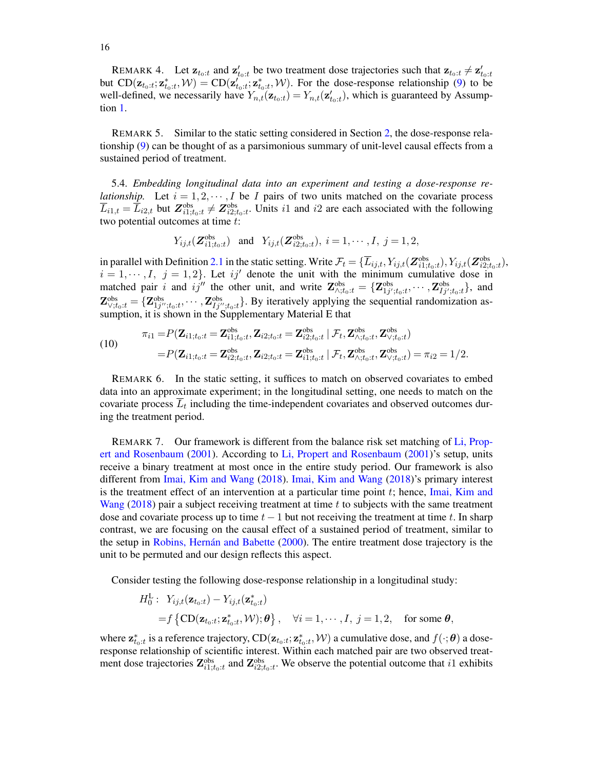REMARK 4. Let  $\mathbf{z}_{t_0:t}$  and  $\mathbf{z}'_{t_0:t}$  be two treatment dose trajectories such that  $\mathbf{z}_{t_0:t} \neq \mathbf{z}'_{t_0:t}$ but  $CD(\mathbf{z}_{t_0:t}; \mathbf{z}_{t_0:t}^*, \mathcal{W}) = CD(\mathbf{z}_{t_0:t}^{\prime}; \mathbf{z}_{t_0:t}^*, \mathcal{W})$ . For the dose-response relationship [\(9\)](#page-14-3) to be well-defined, we necessarily have  $Y_{n,t}(\mathbf{z}_{t_0:t}) = Y_{n,t}(\mathbf{z}_{t_0:t}')$ , which is guaranteed by Assumption [1.](#page-14-1)

REMARK 5. Similar to the static setting considered in Section [2,](#page-3-1) the dose-response relationship [\(9\)](#page-14-3) can be thought of as a parsimonious summary of unit-level causal effects from a sustained period of treatment.

<span id="page-15-0"></span>5.4. *Embedding longitudinal data into an experiment and testing a dose-response relationship.* Let  $i = 1, 2, \dots, I$  be I pairs of two units matched on the covariate process  $\overline{L}_{i1,t} = \overline{L}_{i2,t}$  but  $\overline{Z}_{i1;t_0:t}^{\text{obs}} \neq \overline{Z}_{i2;t_0:t}^{\text{obs}}$ . Units i1 and i2 are each associated with the following two potential outcomes at time t:

$$
Y_{ij,t}(\mathbf{Z}^{\text{obs}}_{i1;t_0:t})
$$
 and  $Y_{ij,t}(\mathbf{Z}^{\text{obs}}_{i2;t_0:t}), i = 1, \cdots, I, j = 1, 2,$ 

in parallel with Definition [2.1](#page-6-0) in the static setting. Write  $\mathcal{F}_t = \{\overline{L}_{ij,t}, Y_{ij,t}(\overline{Z}_{i1;t_0:t}^{\text{obs}}), Y_{ij,t}(\overline{Z}_{i2;t_0:t}^{\text{obs}}),$  $i = 1, \dots, I, j = 1, 2$ . Let  $ij'$  denote the unit with the minimum cumulative dose in matched pair i and ij<sup>n</sup> the other unit, and write  $\mathbf{Z}_{\wedge;t_0:t}^{obs} = {\mathbf{Z}_{1j';t_0:t}^{obs}, \cdots, \mathbf{Z}_{1j';t_0:t}^{obs}}$ , and  $\mathbf{Z}_{\vee;t_0:t}^{obs} = \{ \mathbf{Z}_{1j'',t_0:t}^{obs},\cdots,\mathbf{Z}_{Ij'',t_0:t}^{obs} \}$ . By iteratively applying the sequential randomization assumption, it is shown in the Supplementary Material E that

<span id="page-15-1"></span>(10) 
$$
\pi_{i1} = P(\mathbf{Z}_{i1;t_0:t} = \mathbf{Z}_{i1;t_0:t}^{\text{obs}}, \mathbf{Z}_{i2;t_0:t} = \mathbf{Z}_{i2;t_0:t}^{\text{obs}} | \mathcal{F}_t, \mathbf{Z}_{\text{A},t_0:t}^{\text{obs}}, \mathbf{Z}_{\text{A},t_0:t}^{\text{obs}}) = P(\mathbf{Z}_{i1;t_0:t} = \mathbf{Z}_{i2;t_0:t}^{\text{obs}}, \mathbf{Z}_{i2;t_0:t} = \mathbf{Z}_{i1;t_0:t}^{\text{obs}} | \mathcal{F}_t, \mathbf{Z}_{\text{A},t_0:t}^{\text{obs}}, \mathbf{Z}_{\text{A},t_0:t}^{\text{obs}}) = \pi_{i2} = 1/2.
$$

REMARK 6. In the static setting, it suffices to match on observed covariates to embed data into an approximate experiment; in the longitudinal setting, one needs to match on the covariate process  $L_t$  including the time-independent covariates and observed outcomes during the treatment period.

REMARK 7. Our framework is different from the balance risk set matching of [Li, Prop](#page-28-21)[ert and Rosenbaum](#page-28-21) [\(2001\)](#page-28-21). According to [Li, Propert and Rosenbaum](#page-28-21) [\(2001\)](#page-28-21)'s setup, units receive a binary treatment at most once in the entire study period. Our framework is also different from [Imai, Kim and Wang](#page-28-22) [\(2018\)](#page-28-22). [Imai, Kim and Wang](#page-28-22) [\(2018\)](#page-28-22)'s primary interest is the treatment effect of an intervention at a particular time point  $t$ ; hence, [Imai, Kim and](#page-28-22) [Wang](#page-28-22)  $(2018)$  pair a subject receiving treatment at time t to subjects with the same treatment dose and covariate process up to time  $t - 1$  but not receiving the treatment at time t. In sharp contrast, we are focusing on the causal effect of a sustained period of treatment, similar to the setup in [Robins, Hernán and Babette](#page-29-16) [\(2000\)](#page-29-16). The entire treatment dose trajectory is the unit to be permuted and our design reflects this aspect.

Consider testing the following dose-response relationship in a longitudinal study:

$$
H_0^L: Y_{ij,t}(\mathbf{z}_{t_0:t}) - Y_{ij,t}(\mathbf{z}_{t_0:t}^*)
$$
  
=  $f \{ CD(\mathbf{z}_{t_0:t}; \mathbf{z}_{t_0:t}^*, \mathcal{W}); \boldsymbol{\theta} \}, \quad \forall i = 1, \dots, I, j = 1, 2, \quad \text{for some } \boldsymbol{\theta},$ 

where  $\mathbf{z}_{t_0:t}^*$  is a reference trajectory,  $\text{CD}(\mathbf{z}_{t_0:t};\mathbf{z}_{t_0:t}^*,\mathcal{W})$  a cumulative dose, and  $f(\cdot;\bm{\theta})$  a doseresponse relationship of scientific interest. Within each matched pair are two observed treatment dose trajectories  $\mathbf{Z}_{i1;t_0:t}^{obs}$  and  $\mathbf{Z}_{i2;t_0:t}^{obs}$ . We observe the potential outcome that i1 exhibits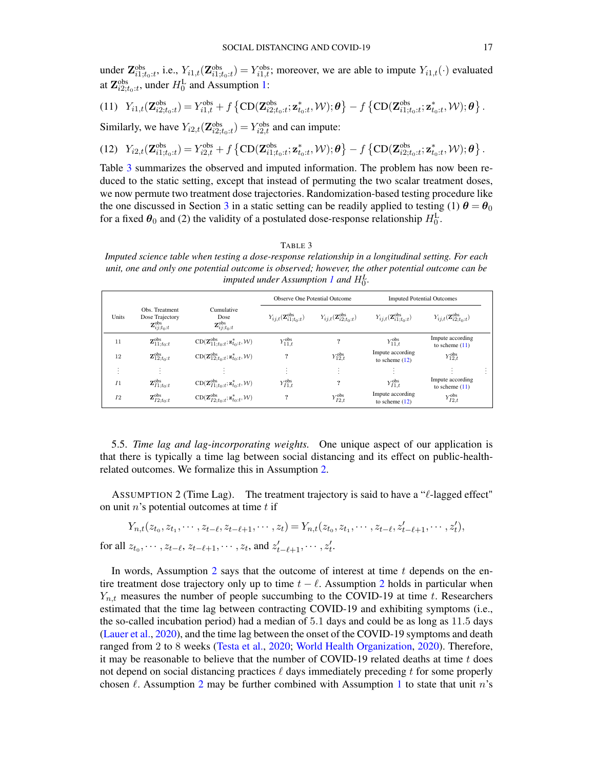under  $\mathbf{Z}_{i1;t_0:t}^{\text{obs}},$  i.e.,  $Y_{i1,t}(\mathbf{Z}_{i1;t_0:t}^{\text{obs}}) = Y_{i1,t}^{\text{obs}}$ ; moreover, we are able to impute  $Y_{i1,t}(\cdot)$  evaluated at  $\mathbf{Z}_{i2;t_0:t}^{obs}$ , under  $H_0^L$  and Assumption [1:](#page-14-1)

<span id="page-16-1"></span>(11) 
$$
Y_{i1,t}(\mathbf{Z}_{i2;t_0:t}^{\text{obs}}) = Y_{i1,t}^{\text{obs}} + f\left\{ CD(\mathbf{Z}_{i2;t_0:t}^{\text{obs}}; \mathbf{z}_{t_0:t}^*, \mathcal{W}); \boldsymbol{\theta}\right\} - f\left\{ CD(\mathbf{Z}_{i1;t_0:t}^{\text{obs}}; \mathbf{z}_{t_0:t}^*, \mathcal{W}); \boldsymbol{\theta}\right\}.
$$

Similarly, we have  $Y_{i2,t}(\mathbf{Z}_{i2,t_0:t}^{obs}) = Y_{i2,t}^{obs}$  and can impute:

<span id="page-16-2"></span>(12) 
$$
Y_{i2,t}(\mathbf{Z}_{i1;t_0:t}^{\text{obs}}) = Y_{i2,t}^{\text{obs}} + f\left\{ CD(\mathbf{Z}_{i1;t_0:t}^{\text{obs}}; \mathbf{z}_{t_0:t}^*, \mathcal{W}); \boldsymbol{\theta}\right\} - f\left\{ CD(\mathbf{Z}_{i2;t_0:t}^{\text{obs}}; \mathbf{z}_{t_0:t}^*, \mathcal{W}); \boldsymbol{\theta}\right\}.
$$

Table [3](#page-16-0) summarizes the observed and imputed information. The problem has now been reduced to the static setting, except that instead of permuting the two scalar treatment doses, we now permute two treatment dose trajectories. Randomization-based testing procedure like the one discussed in Section [3](#page-6-1) in a static setting can be readily applied to testing (1)  $\theta = \theta_0$ for a fixed  $\theta_0$  and (2) the validity of a postulated dose-response relationship  $H_0^L$ .

#### TABLE 3

<span id="page-16-0"></span>*Imputed science table when testing a dose-response relationship in a longitudinal setting. For each unit, one and only one potential outcome is observed; however, the other potential outcome can be imputed under Assumption [1](#page-14-1) and*  $H_0^L$ .

|                    |                                                                         |                                                                                    |                                         | Observe One Potential Outcome           | <b>Imputed Potential Outcomes</b>       |                                                |  |
|--------------------|-------------------------------------------------------------------------|------------------------------------------------------------------------------------|-----------------------------------------|-----------------------------------------|-----------------------------------------|------------------------------------------------|--|
| Units              | Obs. Treatment<br>Dose Trajectory<br>$\mathbf{Z}^\text{obs}_{ij;t_0:t}$ | Cumulative<br>Dose<br>$\mathbf{Z}^{\text{obs}}_{ij;t_0:t}$                         | $Y_{ij,t}(\mathbf{Z}_{i1:t_0:t}^{obs})$ | $Y_{ij,t}(\mathbf{Z}_{i2:t_0:t}^{obs})$ | $Y_{ij,t}(\mathbf{Z}_{i1:t_0:t}^{obs})$ | $Y_{ij,t}(\mathbf{Z}^{\text{obs}}_{i2:t_0:t})$ |  |
| 11                 | $\mathbf{Z}_{11;t_0:t}^{obs}$                                           | $\mathrm{CD}(\mathbf{Z}_{11;t_0:t}^{\text{obs}};\mathbf{z}_{t_0:t}^*,\mathcal{W})$ | $Y_{11,t}^{\text{obs}}$                 | ?                                       | $Y_{11,t}^{\text{obs}}$                 | Impute according<br>to scheme $(11)$           |  |
| 12                 | $\mathbf{Z}_{12;t_0:t}^{\text{obs}}$                                    | $\mathrm{CD}(\mathbf{Z}_{12:t_0:t}^{\text{obs}};\mathbf{z}_{t_0:t}^*,\mathcal{W})$ | ?                                       | $Y_{12,t}^{\text{obs}}$                 | Impute according<br>to scheme $(12)$    | $Y_{12,t}^{\text{obs}}$                        |  |
| $\cdot$<br>$\cdot$ | $\mathbf{r}$                                                            |                                                                                    | $\cdot$<br>$\cdot$                      | $\cdot$<br>$\cdot$                      |                                         |                                                |  |
| I <sub>1</sub>     | $\mathbf{Z}_{I1;t_0:t}^{\text{obs}}$                                    | $\mathrm{CD}(\mathbf{Z}_{I1;t_0:t}^{\text{obs}};\mathbf{z}_{t_0:t}^*,\mathcal{W})$ | $Y_{I1,t}^{\text{obs}}$                 | ?                                       | $Y_{I1,t}^{\text{obs}}$                 | Impute according<br>to scheme $(11)$           |  |
| I2                 | $\mathbf{Z}_{I2;t_0:t}^{\text{obs}}$                                    | $\mathrm{CD}(\mathbf{Z}_{I2:t_0:t}^{\text{obs}};\mathbf{z}_{t_0:t}^*,\mathcal{W})$ | ?                                       | $Y_{I2,t}^{\text{obs}}$                 | Impute according<br>to scheme $(12)$    | $Y_{I2,t}^{\text{obs}}$                        |  |

5.5. *Time lag and lag-incorporating weights.* One unique aspect of our application is that there is typically a time lag between social distancing and its effect on public-healthrelated outcomes. We formalize this in Assumption [2.](#page-16-3)

<span id="page-16-3"></span>ASSUMPTION 2 (Time Lag). The treatment trajectory is said to have a " $\ell$ -lagged effect" on unit  $n$ 's potential outcomes at time  $t$  if

$$
Y_{n,t}(z_{t_0}, z_{t_1}, \cdots, z_{t-\ell}, z_{t-\ell+1}, \cdots, z_t) = Y_{n,t}(z_{t_0}, z_{t_1}, \cdots, z_{t-\ell}, z'_{t-\ell+1}, \cdots, z'_t),
$$
  
for all  $z_{t_0}, \cdots, z_{t-\ell}, z_{t-\ell+1}, \cdots, z_t$ , and  $z'_{t-\ell+1}, \cdots, z'_t$ .

In words, Assumption [2](#page-16-3) says that the outcome of interest at time  $t$  depends on the entire treatment dose trajectory only up to time  $t - \ell$ . Assumption [2](#page-16-3) holds in particular when  $Y_{n,t}$  measures the number of people succumbing to the COVID-19 at time t. Researchers estimated that the time lag between contracting COVID-19 and exhibiting symptoms (i.e., the so-called incubation period) had a median of 5.1 days and could be as long as 11.5 days [\(Lauer et al.,](#page-28-23) [2020\)](#page-28-23), and the time lag between the onset of the COVID-19 symptoms and death ranged from 2 to 8 weeks [\(Testa et al.,](#page-29-17) [2020;](#page-29-17) [World Health Organization,](#page-28-24) [2020\)](#page-28-24). Therefore, it may be reasonable to believe that the number of COVID-19 related deaths at time  $t$  does not depend on social distancing practices  $\ell$  days immediately preceding t for some properly chosen  $\ell$ . Assumption [2](#page-16-3) may be further combined with Assumption [1](#page-14-1) to state that unit n's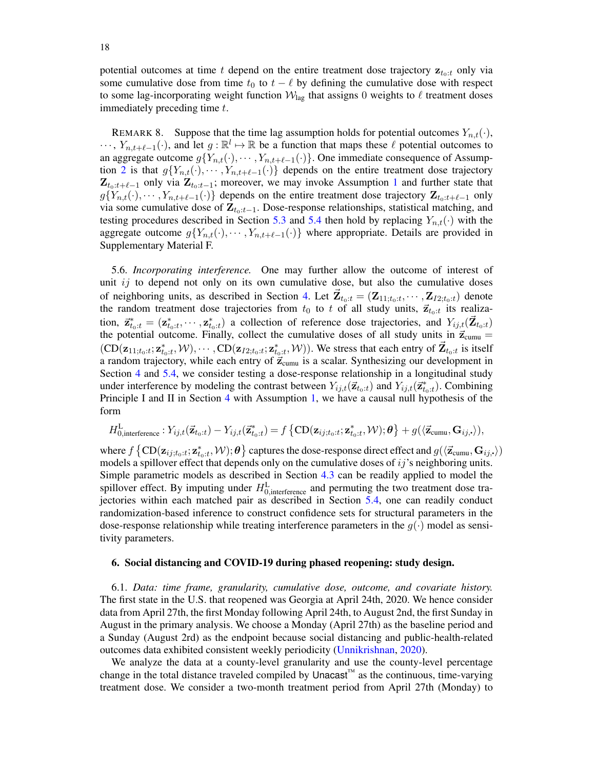potential outcomes at time t depend on the entire treatment dose trajectory  $z_{t_0:t}$  only via some cumulative dose from time  $t_0$  to  $t - \ell$  by defining the cumulative dose with respect to some lag-incorporating weight function  $\mathcal{W}_{\text{lag}}$  that assigns 0 weights to  $\ell$  treatment doses immediately preceding time t.

<span id="page-17-0"></span>REMARK 8. Suppose that the time lag assumption holds for potential outcomes  $Y_{n,t}(\cdot)$ ,  $\cdots$ ,  $Y_{n,t+\ell-1}(\cdot)$ , and let  $g : \mathbb{R}^l \mapsto \mathbb{R}$  be a function that maps these  $\ell$  potential outcomes to an aggregate outcome  $g\{Y_{n,t}(\cdot), \cdots, Y_{n,t+\ell-1}(\cdot)\}\)$ . One immediate consequence of Assump-tion [2](#page-16-3) is that  $g\{Y_{n,t}(\cdot), \cdots, Y_{n,t+\ell-1}(\cdot)\}\)$  depends on the entire treatment dose trajectory  $\mathbf{Z}_{t_0:t+\ell-1}$  $\mathbf{Z}_{t_0:t+\ell-1}$  $\mathbf{Z}_{t_0:t+\ell-1}$  only via  $\mathbf{Z}_{t_0:t-1}$ ; moreover, we may invoke Assumption 1 and further state that  $g\{Y_{n,t}(\cdot), \cdots, Y_{n,t+\ell-1}(\cdot)\}\$  depends on the entire treatment dose trajectory  $\mathbf{Z}_{t_0:t+\ell-1}$  only via some cumulative dose of  $\mathbf{Z}_{t_0:t-1}$ . Dose-response relationships, statistical matching, and testing procedures described in Section [5.3](#page-13-2) and [5.4](#page-15-0) then hold by replacing  $Y_{n,t}(\cdot)$  with the aggregate outcome  $g\{Y_{n,t}(\cdot), \cdots, Y_{n,t+\ell-1}(\cdot)\}\$  where appropriate. Details are provided in Supplementary Material F.

<span id="page-17-1"></span>5.6. *Incorporating interference.* One may further allow the outcome of interest of unit  $ij$  to depend not only on its own cumulative dose, but also the cumulative doses of neighboring units, as described in Section [4.](#page-10-2) Let  $\vec{\mathbf{Z}}_{t_0:t} = (\mathbf{Z}_{11;t_0:t}, \cdots, \mathbf{Z}_{I2;t_0:t})$  denote the random treatment dose trajectories from  $t_0$  to t of all study units,  $\vec{z}_{t_0:t}$  its realization,  $\vec{z}_{t_0:t}^* = (\mathbf{z}_{t_0:t}^*, \cdots, \mathbf{z}_{t_0:t}^*)$  a collection of reference dose trajectories, and  $Y_{ij,t}(\vec{\mathbf{Z}}_{t_0:t})$ the potential outcome. Finally, collect the cumulative doses of all study units in  $\vec{z}_{\text{cumu}} =$  $(CD(\mathbf{z}_{11;t_0:t}; \mathbf{z}_{t_0:t}^*, \mathcal{W}), \cdots, CD(\mathbf{z}_{I2;t_0:t}; \mathbf{z}_{t_0:t}^*, \mathcal{W}))$ . We stress that each entry of  $\mathbf{Z}_{t_0:t}$  is itself a random trajectory, while each entry of  $\vec{z}_{cumu}$  is a scalar. Synthesizing our development in Section [4](#page-10-2) and [5.4,](#page-15-0) we consider testing a dose-response relationship in a longitudinal study under interference by modeling the contrast between  $Y_{ij,t}(\vec{z}_{t_0:t})$  and  $Y_{ij,t}(\vec{z}_{t_0:t}^*)$ . Combining Principle I and II in Section [4](#page-10-2) with Assumption [1,](#page-14-1) we have a causal null hypothesis of the form

$$
H_{0,\text{interference}}^\text{L} : Y_{ij,t}(\vec{\mathbf{z}}_{t_0:t}) - Y_{ij,t}(\vec{\mathbf{z}}_{t_0:t}^*) = f\left\{ \text{CD}(\mathbf{z}_{ij;t_0:t};\mathbf{z}_{t_0:t}^*, \mathcal{W});\boldsymbol{\theta} \right\} + g(\langle \vec{\mathbf{z}}_\text{cumu}, \mathbf{G}_{ij,\centerdot} \rangle),
$$

where  $f\left\{\text{CD}(\mathbf{z}_{ij;t_0:t};\mathbf{z}_{t_0:t}^*, \mathcal{W});\bm{\theta}\right\}$  captures the dose-response direct effect and  $g(\langle\vec{\mathbf{z}}_\text{cumu},\mathbf{G}_{ij,\bm{\cdot}}\rangle)$ models a spillover effect that depends only on the cumulative doses of  $ij$ 's neighboring units. Simple parametric models as described in Section [4.3](#page-11-0) can be readily applied to model the spillover effect. By imputing under  $H_{0,\text{interference}}^{\text{L}}$  and permuting the two treatment dose trajectories within each matched pair as described in Section [5.4,](#page-15-0) one can readily conduct randomization-based inference to construct confidence sets for structural parameters in the dose-response relationship while treating interference parameters in the  $q(\cdot)$  model as sensitivity parameters.

## 6. Social distancing and COVID-19 during phased reopening: study design.

6.1. *Data: time frame, granularity, cumulative dose, outcome, and covariate history.* The first state in the U.S. that reopened was Georgia at April 24th, 2020. We hence consider data from April 27th, the first Monday following April 24th, to August 2nd, the first Sunday in August in the primary analysis. We choose a Monday (April 27th) as the baseline period and a Sunday (August 2rd) as the endpoint because social distancing and public-health-related outcomes data exhibited consistent weekly periodicity [\(Unnikrishnan,](#page-29-18) [2020\)](#page-29-18).

We analyze the data at a county-level granularity and use the county-level percentage change in the total distance traveled compiled by Unacast™ as the continuous, time-varying treatment dose. We consider a two-month treatment period from April 27th (Monday) to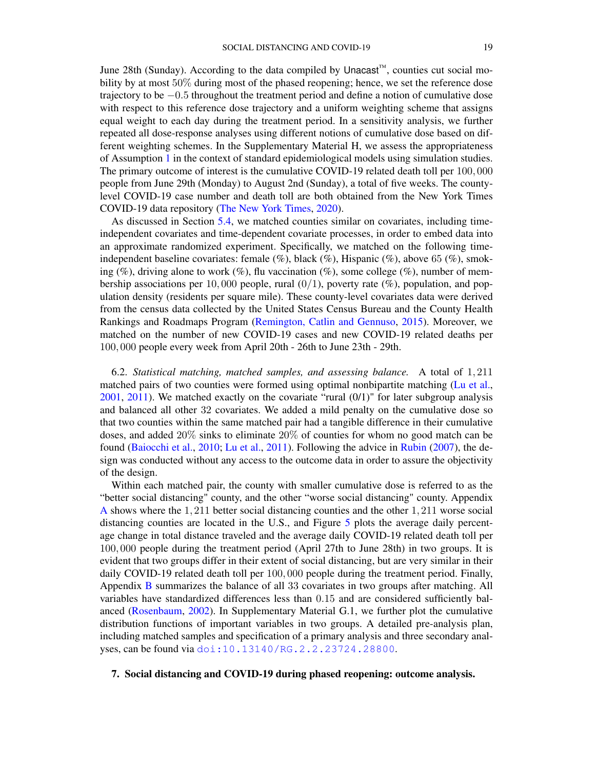June 28th (Sunday). According to the data compiled by Unacast™, counties cut social mobility by at most 50% during most of the phased reopening; hence, we set the reference dose trajectory to be −0.5 throughout the treatment period and define a notion of cumulative dose with respect to this reference dose trajectory and a uniform weighting scheme that assigns equal weight to each day during the treatment period. In a sensitivity analysis, we further repeated all dose-response analyses using different notions of cumulative dose based on different weighting schemes. In the Supplementary Material H, we assess the appropriateness of Assumption [1](#page-14-1) in the context of standard epidemiological models using simulation studies. The primary outcome of interest is the cumulative COVID-19 related death toll per 100, 000 people from June 29th (Monday) to August 2nd (Sunday), a total of five weeks. The countylevel COVID-19 case number and death toll are both obtained from the New York Times COVID-19 data repository [\(The New York Times,](#page-29-19) [2020\)](#page-29-19).

As discussed in Section [5.4,](#page-15-0) we matched counties similar on covariates, including timeindependent covariates and time-dependent covariate processes, in order to embed data into an approximate randomized experiment. Specifically, we matched on the following timeindependent baseline covariates: female (%), black (%), Hispanic (%), above 65 (%), smoking (%), driving alone to work (%), flu vaccination (%), some college (%), number of membership associations per 10,000 people, rural  $(0/1)$ , poverty rate  $(\%)$ , population, and population density (residents per square mile). These county-level covariates data were derived from the census data collected by the United States Census Bureau and the County Health Rankings and Roadmaps Program [\(Remington, Catlin and Gennuso,](#page-28-4) [2015\)](#page-28-4). Moreover, we matched on the number of new COVID-19 cases and new COVID-19 related deaths per 100, 000 people every week from April 20th - 26th to June 23th - 29th.

6.2. *Statistical matching, matched samples, and assessing balance.* A total of 1, 211 matched pairs of two counties were formed using optimal nonbipartite matching [\(Lu et al.,](#page-28-9) [2001,](#page-28-9) [2011\)](#page-28-10). We matched exactly on the covariate "rural (0/1)" for later subgroup analysis and balanced all other 32 covariates. We added a mild penalty on the cumulative dose so that two counties within the same matched pair had a tangible difference in their cumulative doses, and added 20% sinks to eliminate 20% of counties for whom no good match can be found [\(Baiocchi et al.,](#page-26-3) [2010;](#page-26-3) [Lu et al.,](#page-28-10) [2011\)](#page-28-10). Following the advice in [Rubin](#page-29-9) [\(2007\)](#page-29-9), the design was conducted without any access to the outcome data in order to assure the objectivity of the design.

Within each matched pair, the county with smaller cumulative dose is referred to as the "better social distancing" county, and the other "worse social distancing" county. Appendix [A](#page-25-0) shows where the 1, 211 better social distancing counties and the other 1, 211 worse social distancing counties are located in the U.S., and Figure [5](#page-19-0) plots the average daily percentage change in total distance traveled and the average daily COVID-19 related death toll per 100, 000 people during the treatment period (April 27th to June 28th) in two groups. It is evident that two groups differ in their extent of social distancing, but are very similar in their daily COVID-19 related death toll per 100, 000 people during the treatment period. Finally, Appendix [B](#page-25-1) summarizes the balance of all 33 covariates in two groups after matching. All variables have standardized differences less than 0.15 and are considered sufficiently balanced [\(Rosenbaum,](#page-29-7) [2002\)](#page-29-7). In Supplementary Material G.1, we further plot the cumulative distribution functions of important variables in two groups. A detailed pre-analysis plan, including matched samples and specification of a primary analysis and three secondary analyses, can be found via [doi:10.13140/RG.2.2.23724.28800](doi: 10.13140/RG.2.2.23724.28800).

7. Social distancing and COVID-19 during phased reopening: outcome analysis.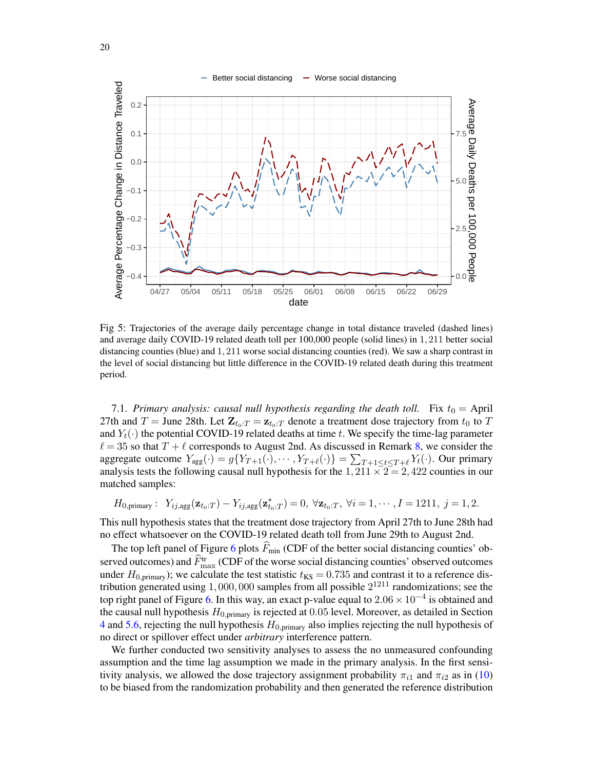<span id="page-19-0"></span>

Fig 5: Trajectories of the average daily percentage change in total distance traveled (dashed lines) and average daily COVID-19 related death toll per 100,000 people (solid lines) in 1, 211 better social distancing counties (blue) and 1, 211 worse social distancing counties (red). We saw a sharp contrast in the level of social distancing but little difference in the COVID-19 related death during this treatment period.

<span id="page-19-1"></span>7.1. *Primary analysis: causal null hypothesis regarding the death toll.* Fix  $t_0 =$  April 27th and T = June 28th. Let  $\mathbf{Z}_{t_0:T} = \mathbf{z}_{t_0:T}$  denote a treatment dose trajectory from  $t_0$  to T and  $Y_t(\cdot)$  the potential COVID-19 related deaths at time t. We specify the time-lag parameter  $\ell = 35$  so that  $T + \ell$  corresponds to August 2nd. As discussed in Remark [8,](#page-17-0) we consider the aggregate outcome  $Y_{\text{agg}}(\cdot) = g\{Y_{T+1}(\cdot), \cdots, Y_{T+\ell}(\cdot)\} = \sum_{T+1 \leq t \leq T+\ell} Y_t(\cdot)$ . Our primary analysis tests the following causal null hypothesis for the  $1,211 \times 2 = 2,422$  counties in our matched samples:

$$
H_{0,\text{primary}}: Y_{ij,\text{agg}}(\mathbf{z}_{t_0:T}) - Y_{ij,\text{agg}}(\mathbf{z}_{t_0:T}^*) = 0, \ \forall \mathbf{z}_{t_0:T}, \ \forall i = 1,\cdots,I = 1211, \ j = 1,2.
$$

This null hypothesis states that the treatment dose trajectory from April 27th to June 28th had no effect whatsoever on the COVID-19 related death toll from June 29th to August 2nd.

The top left panel of Figure [6](#page-20-0) plots  $\widehat{F}_{min}$  (CDF of the better social distancing counties' observed outcomes) and  $\hat{F}_{\text{max}}^{\text{tr}}$  (CDF of the worse social distancing counties' observed outcomes under  $H_{0,\text{primary}}$ ); we calculate the test statistic  $t_{\text{KS}} = 0.735$  and contrast it to a reference distribution generated using  $1,000,000$  samples from all possible  $2^{1211}$  randomizations; see the top right panel of Figure [6.](#page-20-0) In this way, an exact p-value equal to  $2.06 \times 10^{-4}$  is obtained and the causal null hypothesis  $H_{0,\text{primary}}$  is rejected at 0.05 level. Moreover, as detailed in Section [4](#page-10-2) and [5.6,](#page-17-1) rejecting the null hypothesis  $H_{0,\text{primary}}$  also implies rejecting the null hypothesis of no direct or spillover effect under *arbitrary* interference pattern.

We further conducted two sensitivity analyses to assess the no unmeasured confounding assumption and the time lag assumption we made in the primary analysis. In the first sensitivity analysis, we allowed the dose trajectory assignment probability  $\pi_{i1}$  and  $\pi_{i2}$  as in [\(10\)](#page-15-1) to be biased from the randomization probability and then generated the reference distribution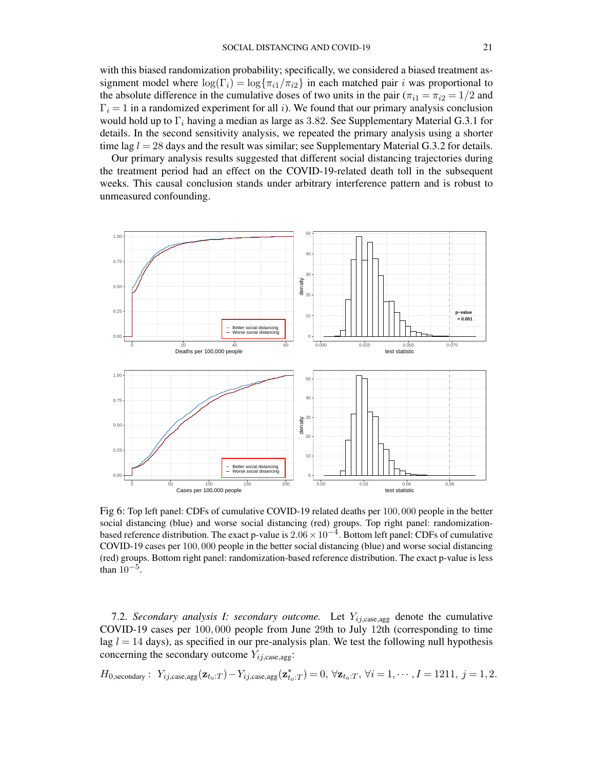with this biased randomization probability; specifically, we considered a biased treatment assignment model where  $\log(\Gamma_i) = \log\{\pi_{i1}/\pi_{i2}\}\$ in each matched pair i was proportional to the absolute difference in the cumulative doses of two units in the pair  $(\pi_{i1} = \pi_{i2} = 1/2$  and  $\Gamma_i = 1$  in a randomized experiment for all i). We found that our primary analysis conclusion would hold up to  $\Gamma_i$  having a median as large as 3.82. See Supplementary Material G.3.1 for details. In the second sensitivity analysis, we repeated the primary analysis using a shorter time lag  $l = 28$  days and the result was similar; see Supplementary Material G.3.2 for details.

Our primary analysis results suggested that different social distancing trajectories during the treatment period had an effect on the COVID-19-related death toll in the subsequent weeks. This causal conclusion stands under arbitrary interference pattern and is robust to unmeasured confounding.

<span id="page-20-0"></span>

Fig 6: Top left panel: CDFs of cumulative COVID-19 related deaths per 100, 000 people in the better social distancing (blue) and worse social distancing (red) groups. Top right panel: randomizationbased reference distribution. The exact p-value is  $2.06 \times 10^{-4}$ . Bottom left panel: CDFs of cumulative COVID-19 cases per 100, 000 people in the better social distancing (blue) and worse social distancing (red) groups. Bottom right panel: randomization-based reference distribution. The exact p-value is less than  $10^{-5}$ .

7.2. *Secondary analysis I: secondary outcome*. Let  $Y_{ij,case,agg}$  denote the cumulative COVID-19 cases per 100, 000 people from June 29th to July 12th (corresponding to time lag  $l = 14$  days), as specified in our pre-analysis plan. We test the following null hypothesis concerning the secondary outcome  $Y_{ij,case,agg}$ :

 $H_{0,\text{secondary}}: Y_{ij,\text{case},\text{agg}}(\mathbf{z}_{t_0:T}) - Y_{ij,\text{case},\text{agg}}(\mathbf{z}_{t_0:T}^*) = 0, \ \forall \mathbf{z}_{t_0:T}, \ \forall i = 1,\cdots, I = 1211, \ j = 1,2.$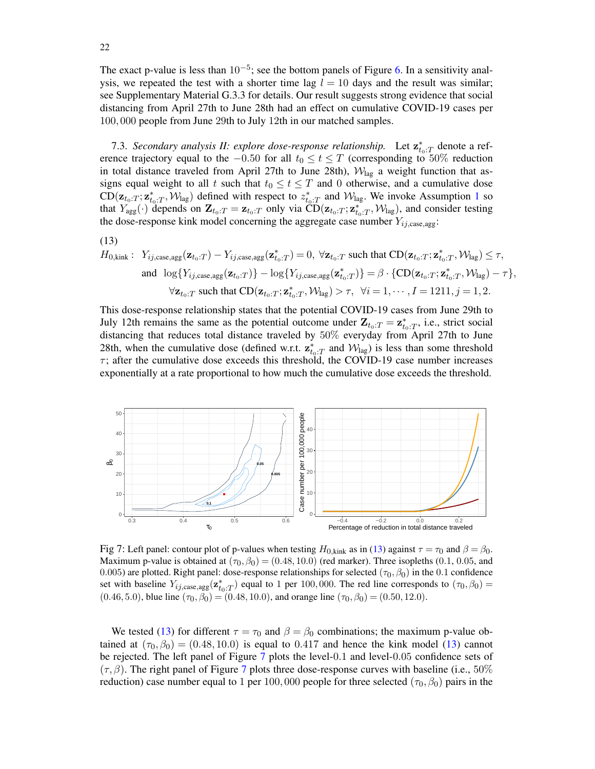The exact p-value is less than  $10^{-5}$ ; see the bottom panels of Figure [6.](#page-20-0) In a sensitivity analysis, we repeated the test with a shorter time lag  $l = 10$  days and the result was similar; see Supplementary Material G.3.3 for details. Our result suggests strong evidence that social distancing from April 27th to June 28th had an effect on cumulative COVID-19 cases per 100, 000 people from June 29th to July 12th in our matched samples.

<span id="page-21-2"></span>7.3. *Secondary analysis II: explore dose-response relationship.* Let  $\mathbf{z}_{t_0:T}^*$  denote a reference trajectory equal to the  $-0.50$  for all  $t_0 \le t \le T$  (corresponding to 50% reduction in total distance traveled from April 27th to June 28th),  $W_{lag}$  a weight function that assigns equal weight to all t such that  $t_0 \le t \le T$  and 0 otherwise, and a cumulative dose  $CD(\mathbf{z}_{t_0:T}; \mathbf{z}_{t_0:T}^*, \mathcal{W}_{\text{lag}})$  defined with respect to  $z_{t_0:T}^*$  and  $\mathcal{W}_{\text{lag}}$ . We invoke Assumption [1](#page-14-1) so that  $Y_{\text{agg}}(\cdot)$  depends on  $\mathbf{Z}_{t_0:T} = \mathbf{z}_{t_0:T}$  only via  $\overrightarrow{CD}(\mathbf{z}_{t_0:T}; \mathbf{z}_{t_0:T}^*, \mathcal{W}_{\text{lag}})$ , and consider testing the dose-response kink model concerning the aggregate case number  $Y_{ij,case,agg}$ :

$$
(13)
$$

<span id="page-21-0"></span>
$$
\begin{aligned} H_{0,\text{kink}}: \hspace{2mm} &Y_{ij,\text{case},\text{agg}}(\mathbf{z}_{t_0:T})-Y_{ij,\text{case},\text{agg}}(\mathbf{z}_{t_0:T}^*)=0, \hspace{2mm} \forall \mathbf{z}_{t_0:T} \text{ such that } \text{CD}(\mathbf{z}_{t_0:T};\mathbf{z}_{t_0:T}^*,\mathcal{W}_{\text{lag}}) \leq \tau, \\ & \text{and} \hspace{2mm} \log\{Y_{ij,\text{case},\text{agg}}(\mathbf{z}_{t_0:T})\} - \log\{Y_{ij,\text{case},\text{agg}}(\mathbf{z}_{t_0:T}^*)\} = \beta \cdot \{\text{CD}(\mathbf{z}_{t_0:T};\mathbf{z}_{t_0:T}^*,\mathcal{W}_{\text{lag}}) - \tau\}, \\ & \forall \mathbf{z}_{t_0:T} \text{ such that } \text{CD}(\mathbf{z}_{t_0:T};\mathbf{z}_{t_0:T}^*,\mathcal{W}_{\text{lag}}) > \tau, \hspace{2mm} \forall i=1,\cdots,I=1211, j=1,2. \end{aligned}
$$

This dose-response relationship states that the potential COVID-19 cases from June 29th to July 12th remains the same as the potential outcome under  $\mathbf{Z}_{t_0:T} = \mathbf{z}_{t_0:T}^*$ , i.e., strict social distancing that reduces total distance traveled by 50% everyday from April 27th to June 28th, when the cumulative dose (defined w.r.t.  $\mathbf{z}_{t_0:T}^*$  and  $\mathcal{W}_{\text{lag}}$ ) is less than some threshold  $\tau$ ; after the cumulative dose exceeds this threshold, the COVID-19 case number increases exponentially at a rate proportional to how much the cumulative dose exceeds the threshold.

<span id="page-21-1"></span>

Fig 7: Left panel: contour plot of p-values when testing  $H_{0,kink}$  as in [\(13\)](#page-21-0) against  $\tau = \tau_0$  and  $\beta = \beta_0$ . Maximum p-value is obtained at  $(\tau_0, \beta_0) = (0.48, 10.0)$  (red marker). Three isopleths (0.1, 0.05, and 0.005) are plotted. Right panel: dose-response relationships for selected ( $\tau_0$ ,  $\beta_0$ ) in the 0.1 confidence set with baseline  $Y_{ij,\text{case},\text{agg}}(\mathbf{z}_{t_0:T}^*)$  equal to 1 per 100,000. The red line corresponds to  $(\tau_0,\beta_0)$  =  $(0.46, 5.0)$ , blue line  $(\tau_0, \beta_0) = (0.48, 10.0)$ , and orange line  $(\tau_0, \beta_0) = (0.50, 12.0)$ .

We tested [\(13\)](#page-21-0) for different  $\tau = \tau_0$  and  $\beta = \beta_0$  combinations; the maximum p-value obtained at  $(\tau_0, \beta_0) = (0.48, 10.0)$  is equal to 0.417 and hence the kink model [\(13\)](#page-21-0) cannot be rejected. The left panel of Figure [7](#page-21-1) plots the level-0.1 and level-0.05 confidence sets of  $(\tau, \beta)$ . The right panel of Figure [7](#page-21-1) plots three dose-response curves with baseline (i.e., 50%) reduction) case number equal to 1 per 100,000 people for three selected ( $\tau_0$ ,  $\beta_0$ ) pairs in the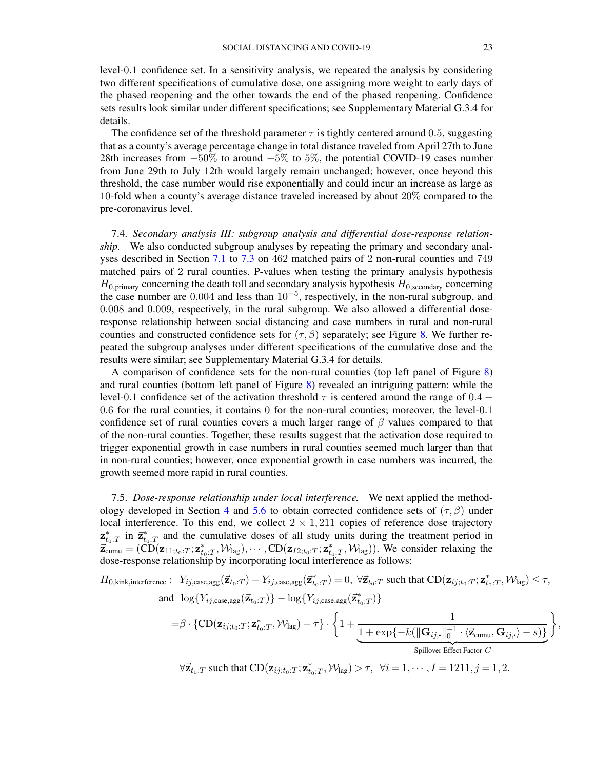level-0.1 confidence set. In a sensitivity analysis, we repeated the analysis by considering two different specifications of cumulative dose, one assigning more weight to early days of the phased reopening and the other towards the end of the phased reopening. Confidence sets results look similar under different specifications; see Supplementary Material G.3.4 for details.

The confidence set of the threshold parameter  $\tau$  is tightly centered around 0.5, suggesting that as a county's average percentage change in total distance traveled from April 27th to June 28th increases from −50% to around −5% to 5%, the potential COVID-19 cases number from June 29th to July 12th would largely remain unchanged; however, once beyond this threshold, the case number would rise exponentially and could incur an increase as large as 10-fold when a county's average distance traveled increased by about 20% compared to the pre-coronavirus level.

7.4. *Secondary analysis III: subgroup analysis and differential dose-response relationship.* We also conducted subgroup analyses by repeating the primary and secondary analyses described in Section [7.1](#page-19-1) to [7.3](#page-21-2) on 462 matched pairs of 2 non-rural counties and 749 matched pairs of 2 rural counties. P-values when testing the primary analysis hypothesis  $H_{0,\text{primary}}$  concerning the death toll and secondary analysis hypothesis  $H_{0,\text{secondary}}$  concerning the case number are  $0.004$  and less than  $10^{-5}$ , respectively, in the non-rural subgroup, and 0.008 and 0.009, respectively, in the rural subgroup. We also allowed a differential doseresponse relationship between social distancing and case numbers in rural and non-rural counties and constructed confidence sets for  $(\tau, \beta)$  separately; see Figure [8.](#page-23-0) We further repeated the subgroup analyses under different specifications of the cumulative dose and the results were similar; see Supplementary Material G.3.4 for details.

A comparison of confidence sets for the non-rural counties (top left panel of Figure [8\)](#page-23-0) and rural counties (bottom left panel of Figure [8\)](#page-23-0) revealed an intriguing pattern: while the level-0.1 confidence set of the activation threshold  $\tau$  is centered around the range of 0.4 − 0.6 for the rural counties, it contains 0 for the non-rural counties; moreover, the level-0.1 confidence set of rural counties covers a much larger range of  $\beta$  values compared to that of the non-rural counties. Together, these results suggest that the activation dose required to trigger exponential growth in case numbers in rural counties seemed much larger than that in non-rural counties; however, once exponential growth in case numbers was incurred, the growth seemed more rapid in rural counties.

7.5. *Dose-response relationship under local interference.* We next applied the method-ology developed in Section [4](#page-10-2) and [5.6](#page-17-1) to obtain corrected confidence sets of  $(\tau, \beta)$  under local interference. To this end, we collect  $2 \times 1,211$  copies of reference dose trajectory  $\mathbf{z}_{t_0:T}^*$  in  $\vec{\mathbf{z}}_{t_0:T}^*$  and the cumulative doses of all study units during the treatment period in  $\vec{z}_{\text{cum}} = (\text{CD}(\mathbf{z}_{11;t_0:T}; \mathbf{z}_{t_0:T}^*, \mathcal{W}_{\text{lag}}), \cdots, \text{CD}(\mathbf{z}_{I2;t_0:T}; \mathbf{z}_{t_0:T}^*, \mathcal{W}_{\text{lag}})).$  We consider relaxing the dose-response relationship by incorporating local interference as follows:

$$
H_{0,\text{kink, interference}}: Y_{ij,\text{case},\text{agg}}(\vec{\mathbf{z}}_{t_0:T}) - Y_{ij,\text{case},\text{agg}}(\vec{\mathbf{z}}_{t_0:T}^*) = 0, \ \forall \vec{\mathbf{z}}_{t_0:T} \text{ such that } CD(\mathbf{z}_{ij;t_0:T}; \mathbf{z}_{t_0:T}^*, \mathcal{W}_{\text{lag}}) \leq \tau,
$$
  
and 
$$
\log\{Y_{ij,\text{case},\text{agg}}(\vec{\mathbf{z}}_{t_0:T})\} - \log\{Y_{ij,\text{case},\text{agg}}(\vec{\mathbf{z}}_{t_0:T}^*)\}
$$

$$
= \beta \cdot \{\text{CD}(\mathbf{z}_{ij;t_0:T}; \mathbf{z}_{t_0:T}^*, \mathcal{W}_{\text{lag}}) - \tau\} \cdot \left\{1 + \underbrace{\frac{1}{1 + \exp\{-k(\|\mathbf{G}_{ij}, \|\_0^{-1} \cdot \langle \vec{\mathbf{z}}_{\text{cumu}}, \mathbf{G}_{ij}, \rangle - s)\}}_{\text{Spillover Effect Factor } C}\right\},
$$

 $\forall \vec{\mathbf{z}}_{t_0:T}$  such that  $CD(\mathbf{z}_{ij;t_0:T}; \mathbf{z}_{t_0:T}^*, \mathcal{W}_{\text{lag}}) > \tau$ ,  $\forall i = 1, \cdots, I = 1211, j = 1, 2$ .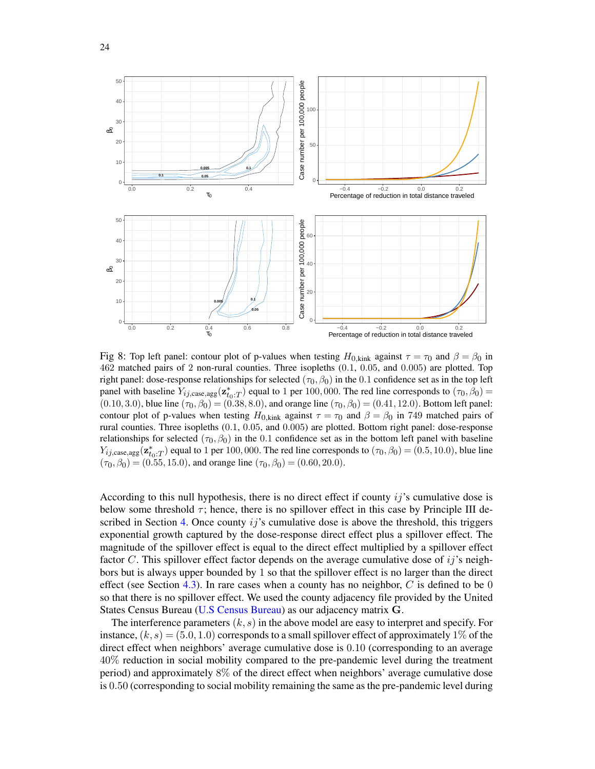<span id="page-23-0"></span>

Fig 8: Top left panel: contour plot of p-values when testing  $H_{0,kink}$  against  $\tau = \tau_0$  and  $\beta = \beta_0$  in 462 matched pairs of 2 non-rural counties. Three isopleths (0.1, 0.05, and 0.005) are plotted. Top right panel: dose-response relationships for selected ( $\tau_0$ ,  $\beta_0$ ) in the 0.1 confidence set as in the top left panel with baseline  $Y_{ij,case,agg}(\mathbf{z}_{t_0:T}^*)$  equal to 1 per 100,000. The red line corresponds to  $(\tau_0, \beta_0)$  =  $(0.10, 3.0)$ , blue line  $(\tau_0, \beta_0) = (0.38, 8.0)$ , and orange line  $(\tau_0, \beta_0) = (0.41, 12.0)$ . Bottom left panel: contour plot of p-values when testing  $H_{0,kink}$  against  $\tau = \tau_0$  and  $\beta = \beta_0$  in 749 matched pairs of rural counties. Three isopleths (0.1, 0.05, and 0.005) are plotted. Bottom right panel: dose-response relationships for selected ( $\tau_0$ ,  $\beta_0$ ) in the 0.1 confidence set as in the bottom left panel with baseline  $Y_{ij,\text{case},\text{agg}}(\mathbf{z}_{t_0:T}^*)$  equal to 1 per 100, 000. The red line corresponds to  $(\tau_0,\beta_0) = (0.5,10.0)$ , blue line  $(\tau_0, \beta_0) = (0.55, 15.0)$ , and orange line  $(\tau_0, \beta_0) = (0.60, 20.0)$ .

According to this null hypothesis, there is no direct effect if county  $ij$ 's cumulative dose is below some threshold  $\tau$ ; hence, there is no spillover effect in this case by Principle III de-scribed in Section [4.](#page-10-2) Once county  $ij$ 's cumulative dose is above the threshold, this triggers exponential growth captured by the dose-response direct effect plus a spillover effect. The magnitude of the spillover effect is equal to the direct effect multiplied by a spillover effect factor  $C$ . This spillover effect factor depends on the average cumulative dose of  $ij$ 's neighbors but is always upper bounded by 1 so that the spillover effect is no larger than the direct effect (see Section [4.3\)](#page-11-0). In rare cases when a county has no neighbor,  $C$  is defined to be 0 so that there is no spillover effect. We used the county adjacency file provided by the United States Census Bureau [\(U.S Census Bureau\)](#page-27-5) as our adjacency matrix G.

The interference parameters  $(k, s)$  in the above model are easy to interpret and specify. For instance,  $(k, s) = (5.0, 1.0)$  corresponds to a small spillover effect of approximately 1% of the direct effect when neighbors' average cumulative dose is 0.10 (corresponding to an average 40% reduction in social mobility compared to the pre-pandemic level during the treatment period) and approximately 8% of the direct effect when neighbors' average cumulative dose is 0.50 (corresponding to social mobility remaining the same as the pre-pandemic level during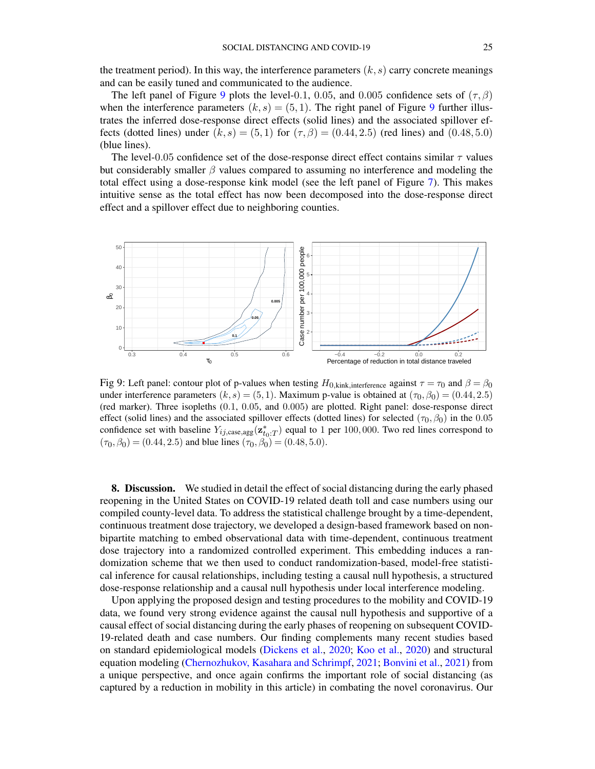the treatment period). In this way, the interference parameters  $(k, s)$  carry concrete meanings and can be easily tuned and communicated to the audience.

The left panel of Figure [9](#page-24-0) plots the level-0.1, 0.05, and 0.005 confidence sets of  $(\tau, \beta)$ when the interference parameters  $(k, s) = (5, 1)$ . The right panel of Figure [9](#page-24-0) further illustrates the inferred dose-response direct effects (solid lines) and the associated spillover effects (dotted lines) under  $(k, s) = (5, 1)$  for  $(\tau, \beta) = (0.44, 2.5)$  (red lines) and  $(0.48, 5.0)$ (blue lines).

The level-0.05 confidence set of the dose-response direct effect contains similar  $\tau$  values but considerably smaller  $\beta$  values compared to assuming no interference and modeling the total effect using a dose-response kink model (see the left panel of Figure [7\)](#page-21-1). This makes intuitive sense as the total effect has now been decomposed into the dose-response direct effect and a spillover effect due to neighboring counties.

<span id="page-24-0"></span>

Fig 9: Left panel: contour plot of p-values when testing  $H_{0,\text{kink},\text{interference}}$  against  $\tau = \tau_0$  and  $\beta = \beta_0$ under interference parameters  $(k, s) = (5, 1)$ . Maximum p-value is obtained at  $(\tau_0, \beta_0) = (0.44, 2.5)$ (red marker). Three isopleths (0.1, 0.05, and 0.005) are plotted. Right panel: dose-response direct effect (solid lines) and the associated spillover effects (dotted lines) for selected ( $\tau_0$ ,  $\beta_0$ ) in the 0.05 confidence set with baseline  $Y_{ij, \text{case}, \text{agg}}(\mathbf{z}_{t_0:T}^*)$  equal to 1 per 100,000. Two red lines correspond to  $(\tau_0, \beta_0) = (0.44, 2.5)$  and blue lines  $(\tau_0, \beta_0) = (0.48, 5.0)$ .

8. Discussion. We studied in detail the effect of social distancing during the early phased reopening in the United States on COVID-19 related death toll and case numbers using our compiled county-level data. To address the statistical challenge brought by a time-dependent, continuous treatment dose trajectory, we developed a design-based framework based on nonbipartite matching to embed observational data with time-dependent, continuous treatment dose trajectory into a randomized controlled experiment. This embedding induces a randomization scheme that we then used to conduct randomization-based, model-free statistical inference for causal relationships, including testing a causal null hypothesis, a structured dose-response relationship and a causal null hypothesis under local interference modeling.

Upon applying the proposed design and testing procedures to the mobility and COVID-19 data, we found very strong evidence against the causal null hypothesis and supportive of a causal effect of social distancing during the early phases of reopening on subsequent COVID-19-related death and case numbers. Our finding complements many recent studies based on standard epidemiological models [\(Dickens et al.,](#page-27-6) [2020;](#page-27-6) [Koo et al.,](#page-28-25) [2020\)](#page-28-25) and structural equation modeling [\(Chernozhukov, Kasahara and Schrimpf,](#page-27-7) [2021;](#page-27-7) [Bonvini et al.,](#page-27-8) [2021\)](#page-27-8) from a unique perspective, and once again confirms the important role of social distancing (as captured by a reduction in mobility in this article) in combating the novel coronavirus. Our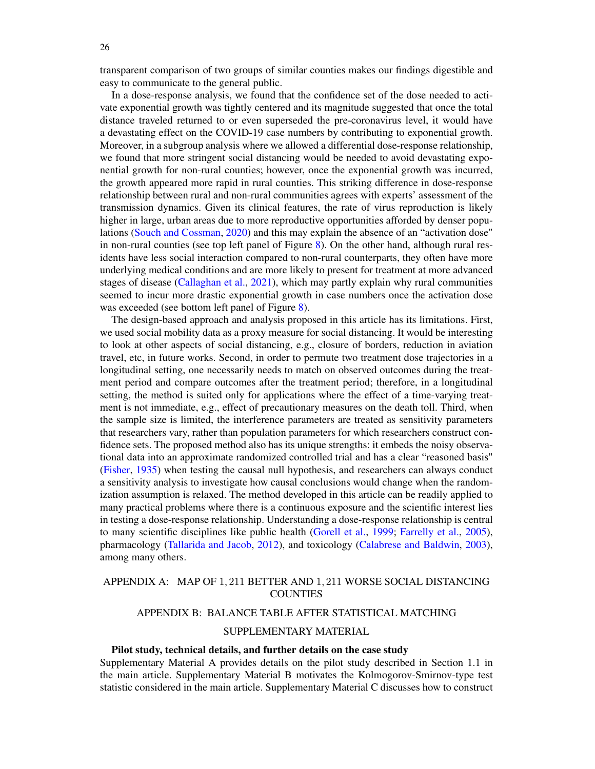transparent comparison of two groups of similar counties makes our findings digestible and easy to communicate to the general public.

In a dose-response analysis, we found that the confidence set of the dose needed to activate exponential growth was tightly centered and its magnitude suggested that once the total distance traveled returned to or even superseded the pre-coronavirus level, it would have a devastating effect on the COVID-19 case numbers by contributing to exponential growth. Moreover, in a subgroup analysis where we allowed a differential dose-response relationship, we found that more stringent social distancing would be needed to avoid devastating exponential growth for non-rural counties; however, once the exponential growth was incurred, the growth appeared more rapid in rural counties. This striking difference in dose-response relationship between rural and non-rural communities agrees with experts' assessment of the transmission dynamics. Given its clinical features, the rate of virus reproduction is likely higher in large, urban areas due to more reproductive opportunities afforded by denser populations [\(Souch and Cossman,](#page-29-20) [2020\)](#page-29-20) and this may explain the absence of an "activation dose" in non-rural counties (see top left panel of Figure [8\)](#page-23-0). On the other hand, although rural residents have less social interaction compared to non-rural counterparts, they often have more underlying medical conditions and are more likely to present for treatment at more advanced stages of disease [\(Callaghan et al.,](#page-27-9) [2021\)](#page-27-9), which may partly explain why rural communities seemed to incur more drastic exponential growth in case numbers once the activation dose was exceeded (see bottom left panel of Figure [8\)](#page-23-0).

The design-based approach and analysis proposed in this article has its limitations. First, we used social mobility data as a proxy measure for social distancing. It would be interesting to look at other aspects of social distancing, e.g., closure of borders, reduction in aviation travel, etc, in future works. Second, in order to permute two treatment dose trajectories in a longitudinal setting, one necessarily needs to match on observed outcomes during the treatment period and compare outcomes after the treatment period; therefore, in a longitudinal setting, the method is suited only for applications where the effect of a time-varying treatment is not immediate, e.g., effect of precautionary measures on the death toll. Third, when the sample size is limited, the interference parameters are treated as sensitivity parameters that researchers vary, rather than population parameters for which researchers construct confidence sets. The proposed method also has its unique strengths: it embeds the noisy observational data into an approximate randomized controlled trial and has a clear "reasoned basis" [\(Fisher,](#page-28-6) [1935\)](#page-28-6) when testing the causal null hypothesis, and researchers can always conduct a sensitivity analysis to investigate how causal conclusions would change when the randomization assumption is relaxed. The method developed in this article can be readily applied to many practical problems where there is a continuous exposure and the scientific interest lies in testing a dose-response relationship. Understanding a dose-response relationship is central to many scientific disciplines like public health [\(Gorell et al.,](#page-28-26) [1999;](#page-28-26) [Farrelly et al.,](#page-28-27) [2005\)](#page-28-27), pharmacology [\(Tallarida and Jacob,](#page-29-21) [2012\)](#page-29-21), and toxicology [\(Calabrese and Baldwin,](#page-27-10) [2003\)](#page-27-10), among many others.

# <span id="page-25-1"></span><span id="page-25-0"></span>APPENDIX A: MAP OF 1, 211 BETTER AND 1, 211 WORSE SOCIAL DISTANCING COUNTIES

## APPENDIX B: BALANCE TABLE AFTER STATISTICAL MATCHING

# SUPPLEMENTARY MATERIAL

### Pilot study, technical details, and further details on the case study

Supplementary Material A provides details on the pilot study described in Section 1.1 in the main article. Supplementary Material B motivates the Kolmogorov-Smirnov-type test statistic considered in the main article. Supplementary Material C discusses how to construct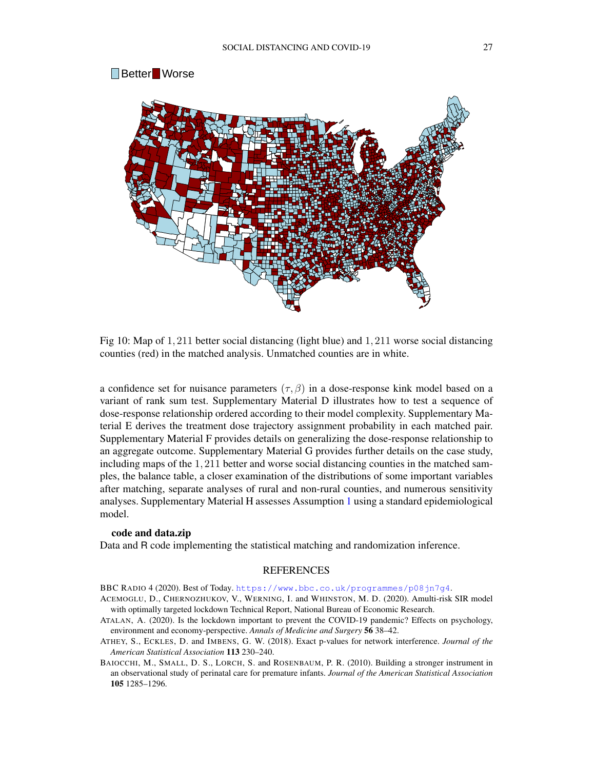

Fig 10: Map of 1, 211 better social distancing (light blue) and 1, 211 worse social distancing counties (red) in the matched analysis. Unmatched counties are in white.

a confidence set for nuisance parameters  $(\tau, \beta)$  in a dose-response kink model based on a variant of rank sum test. Supplementary Material D illustrates how to test a sequence of dose-response relationship ordered according to their model complexity. Supplementary Material E derives the treatment dose trajectory assignment probability in each matched pair. Supplementary Material F provides details on generalizing the dose-response relationship to an aggregate outcome. Supplementary Material G provides further details on the case study, including maps of the 1, 211 better and worse social distancing counties in the matched samples, the balance table, a closer examination of the distributions of some important variables after matching, separate analyses of rural and non-rural counties, and numerous sensitivity analyses. Supplementary Material H assesses Assumption [1](#page-14-1) using a standard epidemiological model.

### code and data.zip

Data and R code implementing the statistical matching and randomization inference.

### **REFERENCES**

<span id="page-26-2"></span>BBC RADIO 4 (2020). Best of Today. <https://www.bbc.co.uk/programmes/p08jn7g4>.

- <span id="page-26-0"></span>ACEMOGLU, D., CHERNOZHUKOV, V., WERNING, I. and WHINSTON, M. D. (2020). Amulti-risk SIR model with optimally targeted lockdown Technical Report, National Bureau of Economic Research.
- <span id="page-26-1"></span>ATALAN, A. (2020). Is the lockdown important to prevent the COVID-19 pandemic? Effects on psychology, environment and economy-perspective. *Annals of Medicine and Surgery* 56 38–42.
- <span id="page-26-4"></span>ATHEY, S., ECKLES, D. and IMBENS, G. W. (2018). Exact p-values for network interference. *Journal of the American Statistical Association* 113 230–240.
- <span id="page-26-3"></span>BAIOCCHI, M., SMALL, D. S., LORCH, S. and ROSENBAUM, P. R. (2010). Building a stronger instrument in an observational study of perinatal care for premature infants. *Journal of the American Statistical Association* 105 1285–1296.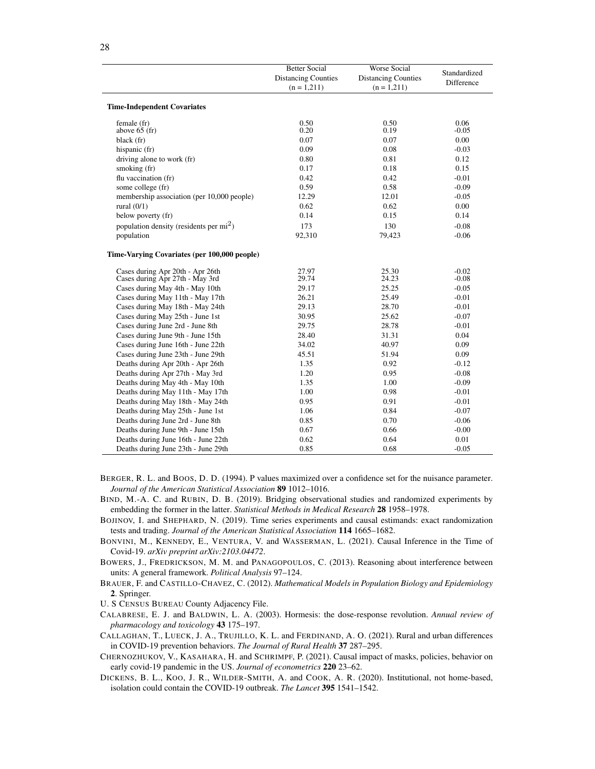|                                              | <b>Better Social</b>       | Worse Social               | Standardized |  |
|----------------------------------------------|----------------------------|----------------------------|--------------|--|
|                                              | <b>Distancing Counties</b> | <b>Distancing Counties</b> |              |  |
|                                              | $(n = 1,211)$              | $(n = 1,211)$              | Difference   |  |
|                                              |                            |                            |              |  |
| <b>Time-Independent Covariates</b>           |                            |                            |              |  |
| female (fr)                                  | 0.50                       | 0.50                       | 0.06         |  |
| above $65$ (fr)                              | 0.20                       | 0.19                       | $-0.05$      |  |
| black (fr)                                   | 0.07                       | 0.07                       | 0.00         |  |
| hispanic (fr)                                | 0.09                       | 0.08                       | $-0.03$      |  |
| driving alone to work (fr)                   | 0.80                       | 0.81                       | 0.12         |  |
| smoking (fr)                                 | 0.17                       | 0.18                       | 0.15         |  |
| flu vaccination (fr)                         | 0.42                       | 0.42                       | $-0.01$      |  |
| some college (fr)                            | 0.59                       | 0.58                       | $-0.09$      |  |
| membership association (per 10,000 people)   | 12.29                      | 12.01                      | $-0.05$      |  |
| rural $(0/1)$                                | 0.62                       | 0.62                       | 0.00         |  |
| below poverty (fr)                           | 0.14                       | 0.15                       | 0.14         |  |
| population density (residents per $mi^2$ )   | 173                        | 130                        | $-0.08$      |  |
| population                                   | 92,310                     | 79,423                     | $-0.06$      |  |
| Time-Varying Covariates (per 100,000 people) |                            |                            |              |  |
| Cases during Apr 20th - Apr 26th             | 27.97                      | 25.30                      | $-0.02$      |  |
| Cases during Apr 27th - May 3rd              | 29.74                      | 24.23                      | $-0.08$      |  |
| Cases during May 4th - May 10th              | 29.17                      | 25.25                      | $-0.05$      |  |
| Cases during May 11th - May 17th             | 26.21                      | 25.49                      | $-0.01$      |  |
| Cases during May 18th - May 24th             | 29.13                      | 28.70                      | $-0.01$      |  |
| Cases during May 25th - June 1st             | 30.95                      | 25.62                      | $-0.07$      |  |
| Cases during June 2rd - June 8th             | 29.75                      | 28.78                      | $-0.01$      |  |
| Cases during June 9th - June 15th            | 28.40                      | 31.31                      | 0.04         |  |
| Cases during June 16th - June 22th           | 34.02                      | 40.97                      | 0.09         |  |
| Cases during June 23th - June 29th           | 45.51                      | 51.94                      | 0.09         |  |
| Deaths during Apr 20th - Apr 26th            | 1.35                       | 0.92                       | $-0.12$      |  |
| Deaths during Apr 27th - May 3rd             | 1.20                       | 0.95                       | $-0.08$      |  |
| Deaths during May 4th - May 10th             | 1.35                       | 1.00                       | $-0.09$      |  |
| Deaths during May 11th - May 17th            | 1.00                       | 0.98                       | $-0.01$      |  |
| Deaths during May 18th - May 24th            | 0.95                       | 0.91                       | $-0.01$      |  |
| Deaths during May 25th - June 1st            | 1.06                       | 0.84                       | $-0.07$      |  |
| Deaths during June 2rd - June 8th            | 0.85                       | 0.70                       | $-0.06$      |  |
| Deaths during June 9th - June 15th           | 0.67                       | 0.66                       | $-0.00$      |  |
| Deaths during June 16th - June 22th          | 0.62                       | 0.64                       | 0.01         |  |
| Deaths during June 23th - June 29th          | 0.85                       | 0.68                       | $-0.05$      |  |

- <span id="page-27-2"></span>BERGER, R. L. and BOOS, D. D. (1994). P values maximized over a confidence set for the nuisance parameter. *Journal of the American Statistical Association* 89 1012–1016.
- <span id="page-27-1"></span>BIND, M.-A. C. and RUBIN, D. B. (2019). Bridging observational studies and randomized experiments by embedding the former in the latter. *Statistical Methods in Medical Research* 28 1958–1978.
- <span id="page-27-4"></span>BOJINOV, I. and SHEPHARD, N. (2019). Time series experiments and causal estimands: exact randomization tests and trading. *Journal of the American Statistical Association* 114 1665–1682.
- <span id="page-27-8"></span>BONVINI, M., KENNEDY, E., VENTURA, V. and WASSERMAN, L. (2021). Causal Inference in the Time of Covid-19. *arXiv preprint arXiv:2103.04472*.
- <span id="page-27-3"></span>BOWERS, J., FREDRICKSON, M. M. and PANAGOPOULOS, C. (2013). Reasoning about interference between units: A general framework. *Political Analysis* 97–124.
- <span id="page-27-0"></span>BRAUER, F. and CASTILLO-CHAVEZ, C. (2012). *Mathematical Models in Population Biology and Epidemiology* 2. Springer.
- <span id="page-27-5"></span>U. S CENSUS BUREAU County Adjacency File.
- <span id="page-27-10"></span>CALABRESE, E. J. and BALDWIN, L. A. (2003). Hormesis: the dose-response revolution. *Annual review of pharmacology and toxicology* 43 175–197.
- <span id="page-27-9"></span>CALLAGHAN, T., LUECK, J. A., TRUJILLO, K. L. and FERDINAND, A. O. (2021). Rural and urban differences in COVID-19 prevention behaviors. *The Journal of Rural Health* 37 287–295.
- <span id="page-27-7"></span>CHERNOZHUKOV, V., KASAHARA, H. and SCHRIMPF, P. (2021). Causal impact of masks, policies, behavior on early covid-19 pandemic in the US. *Journal of econometrics* 220 23–62.
- <span id="page-27-6"></span>DICKENS, B. L., KOO, J. R., WILDER-SMITH, A. and COOK, A. R. (2020). Institutional, not home-based, isolation could contain the COVID-19 outbreak. *The Lancet* 395 1541–1542.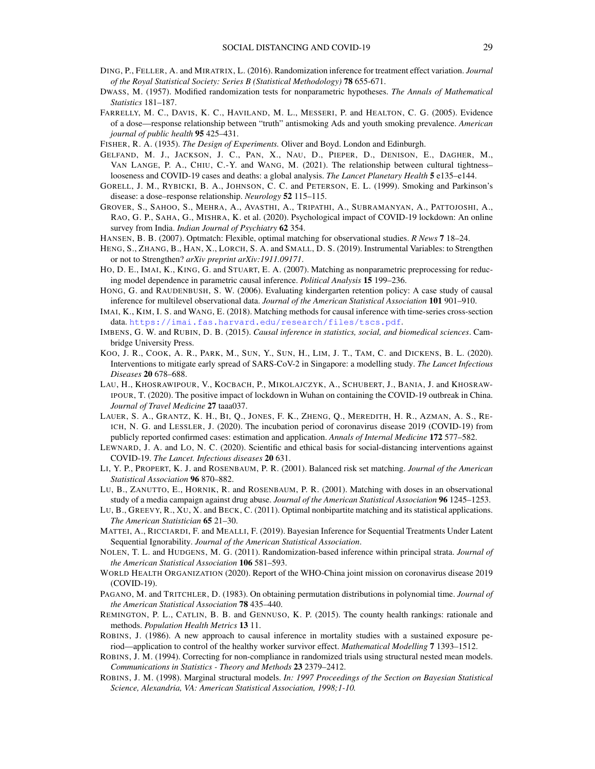- <span id="page-28-5"></span>DING, P., FELLER, A. and MIRATRIX, L. (2016). Randomization inference for treatment effect variation. *Journal of the Royal Statistical Society: Series B (Statistical Methodology)* 78 655-671.
- <span id="page-28-12"></span>DWASS, M. (1957). Modified randomization tests for nonparametric hypotheses. *The Annals of Mathematical Statistics* 181–187.
- <span id="page-28-27"></span>FARRELLY, M. C., DAVIS, K. C., HAVILAND, M. L., MESSERI, P. and HEALTON, C. G. (2005). Evidence of a dose—response relationship between "truth" antismoking Ads and youth smoking prevalence. *American journal of public health* 95 425–431.

<span id="page-28-6"></span>FISHER, R. A. (1935). *The Design of Experiments.* Oliver and Boyd. London and Edinburgh.

- <span id="page-28-3"></span>GELFAND, M. J., JACKSON, J. C., PAN, X., NAU, D., PIEPER, D., DENISON, E., DAGHER, M., VAN LANGE, P. A., CHIU, C.-Y. and WANG, M. (2021). The relationship between cultural tightness– looseness and COVID-19 cases and deaths: a global analysis. *The Lancet Planetary Health* 5 e135–e144.
- <span id="page-28-26"></span>GORELL, J. M., RYBICKI, B. A., JOHNSON, C. C. and PETERSON, E. L. (1999). Smoking and Parkinson's disease: a dose–response relationship. *Neurology* 52 115–115.
- <span id="page-28-2"></span>GROVER, S., SAHOO, S., MEHRA, A., AVASTHI, A., TRIPATHI, A., SUBRAMANYAN, A., PATTOJOSHI, A., RAO, G. P., SAHA, G., MISHRA, K. et al. (2020). Psychological impact of COVID-19 lockdown: An online survey from India. *Indian Journal of Psychiatry* 62 354.
- <span id="page-28-8"></span>HANSEN, B. B. (2007). Optmatch: Flexible, optimal matching for observational studies. *R News* 7 18–24.
- <span id="page-28-11"></span>HENG, S., ZHANG, B., HAN, X., LORCH, S. A. and SMALL, D. S. (2019). Instrumental Variables: to Strengthen or not to Strengthen? *arXiv preprint arXiv:1911.09171*.
- <span id="page-28-7"></span>HO, D. E., IMAI, K., KING, G. and STUART, E. A. (2007). Matching as nonparametric preprocessing for reducing model dependence in parametric causal inference. *Political Analysis* 15 199–236.
- <span id="page-28-16"></span>HONG, G. and RAUDENBUSH, S. W. (2006). Evaluating kindergarten retention policy: A case study of causal inference for multilevel observational data. *Journal of the American Statistical Association* 101 901–910.
- <span id="page-28-22"></span>IMAI, K., KIM, I. S. and WANG, E. (2018). Matching methods for causal inference with time-series cross-section data. <https://imai.fas.harvard.edu/research/files/tscs.pdf>.
- <span id="page-28-15"></span>IMBENS, G. W. and RUBIN, D. B. (2015). *Causal inference in statistics, social, and biomedical sciences*. Cambridge University Press.
- <span id="page-28-25"></span>KOO, J. R., COOK, A. R., PARK, M., SUN, Y., SUN, H., LIM, J. T., TAM, C. and DICKENS, B. L. (2020). Interventions to mitigate early spread of SARS-CoV-2 in Singapore: a modelling study. *The Lancet Infectious Diseases* 20 678–688.
- <span id="page-28-1"></span>LAU, H., KHOSRAWIPOUR, V., KOCBACH, P., MIKOLAJCZYK, A., SCHUBERT, J., BANIA, J. and KHOSRAW-IPOUR, T. (2020). The positive impact of lockdown in Wuhan on containing the COVID-19 outbreak in China. *Journal of Travel Medicine* 27 taaa037.
- <span id="page-28-23"></span>LAUER, S. A., GRANTZ, K. H., BI, Q., JONES, F. K., ZHENG, Q., MEREDITH, H. R., AZMAN, A. S., RE-ICH, N. G. and LESSLER, J. (2020). The incubation period of coronavirus disease 2019 (COVID-19) from publicly reported confirmed cases: estimation and application. *Annals of Internal Medicine* 172 577–582.
- <span id="page-28-0"></span>LEWNARD, J. A. and LO, N. C. (2020). Scientific and ethical basis for social-distancing interventions against COVID-19. *The Lancet. Infectious diseases* 20 631.
- <span id="page-28-21"></span>LI, Y. P., PROPERT, K. J. and ROSENBAUM, P. R. (2001). Balanced risk set matching. *Journal of the American Statistical Association* 96 870–882.
- <span id="page-28-9"></span>LU, B., ZANUTTO, E., HORNIK, R. and ROSENBAUM, P. R. (2001). Matching with doses in an observational study of a media campaign against drug abuse. *Journal of the American Statistical Association* 96 1245–1253.
- <span id="page-28-10"></span>LU, B., GREEVY, R., XU, X. and BECK, C. (2011). Optimal nonbipartite matching and its statistical applications. *The American Statistician* 65 21–30.
- <span id="page-28-19"></span>MATTEI, A., RICCIARDI, F. and MEALLI, F. (2019). Bayesian Inference for Sequential Treatments Under Latent Sequential Ignorability. *Journal of the American Statistical Association*.
- <span id="page-28-14"></span>NOLEN, T. L. and HUDGENS, M. G. (2011). Randomization-based inference within principal strata. *Journal of the American Statistical Association* 106 581–593.
- <span id="page-28-24"></span>WORLD HEALTH ORGANIZATION (2020). Report of the WHO-China joint mission on coronavirus disease 2019 (COVID-19).
- <span id="page-28-13"></span>PAGANO, M. and TRITCHLER, D. (1983). On obtaining permutation distributions in polynomial time. *Journal of the American Statistical Association* 78 435–440.
- <span id="page-28-4"></span>REMINGTON, P. L., CATLIN, B. B. and GENNUSO, K. P. (2015). The county health rankings: rationale and methods. *Population Health Metrics* 13 11.
- <span id="page-28-17"></span>ROBINS, J. (1986). A new approach to causal inference in mortality studies with a sustained exposure period—application to control of the healthy worker survivor effect. *Mathematical Modelling* 7 1393–1512.
- <span id="page-28-20"></span>ROBINS, J. M. (1994). Correcting for non-compliance in randomized trials using structural nested mean models. *Communications in Statistics - Theory and Methods* 23 2379–2412.
- <span id="page-28-18"></span>ROBINS, J. M. (1998). Marginal structural models. *In: 1997 Proceedings of the Section on Bayesian Statistical Science, Alexandria, VA: American Statistical Association, 1998;1-10.*